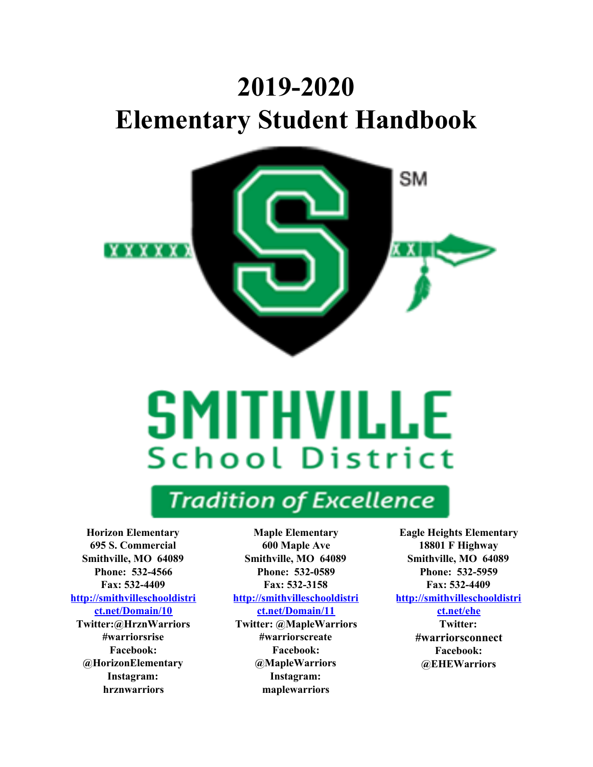# **2019-2020 Elementary Student Handbook**



# **SMITHVILLE School District**

## **Tradition of Excellence**

**Horizon Elementary 695 S. Commercial Smithville, MO 64089 Phone: 532-4566 Fax: 532-4409 [http://smithvilleschooldistri](http://smithvilleschooldistrict.net/Domain/10) [ct.net/Domain/10](http://smithvilleschooldistrict.net/Domain/10)**

**Twitter:@HrznWarriors #warriorsrise Facebook: @HorizonElementary Instagram: hrznwarriors**

**Maple Elementary 600 Maple Ave Smithville, MO 64089 Phone: 532-0589 Fax: 532-3158 [http://smithvilleschooldistri](http://smithvilleschooldistrict.net/Domain/11) [ct.net/Domain/11](http://smithvilleschooldistrict.net/Domain/11)**

**Twitter: @MapleWarriors #warriorscreate Facebook: @MapleWarriors Instagram: maplewarriors**

**Eagle Heights Elementary 18801 F Highway Smithville, MO 64089 Phone: 532-5959 Fax: 532-4409 [http://smithvilleschooldistri](http://smithvilleschooldistrict.net/ehe) [ct.net/ehe](http://smithvilleschooldistrict.net/ehe)**

> **Twitter: #warriorsconnect Facebook: @EHEWarriors**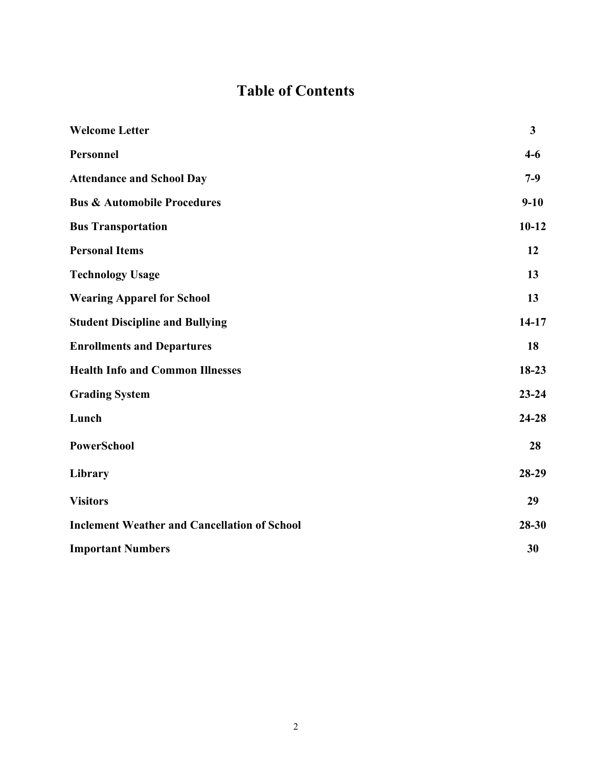## **Table of Contents**

| <b>Welcome Letter</b>                               | $\mathbf{3}$ |
|-----------------------------------------------------|--------------|
| Personnel                                           | $4-6$        |
| <b>Attendance and School Day</b>                    | $7-9$        |
| <b>Bus &amp; Automobile Procedures</b>              | $9 - 10$     |
| <b>Bus Transportation</b>                           | $10-12$      |
| <b>Personal Items</b>                               | 12           |
| <b>Technology Usage</b>                             | 13           |
| <b>Wearing Apparel for School</b>                   | 13           |
| <b>Student Discipline and Bullying</b>              | $14 - 17$    |
| <b>Enrollments and Departures</b>                   | 18           |
| <b>Health Info and Common Illnesses</b>             | $18-23$      |
| <b>Grading System</b>                               | $23 - 24$    |
| Lunch                                               | $24 - 28$    |
| <b>PowerSchool</b>                                  | 28           |
| Library                                             | 28-29        |
| <b>Visitors</b>                                     | 29           |
| <b>Inclement Weather and Cancellation of School</b> | 28-30        |
| <b>Important Numbers</b>                            | 30           |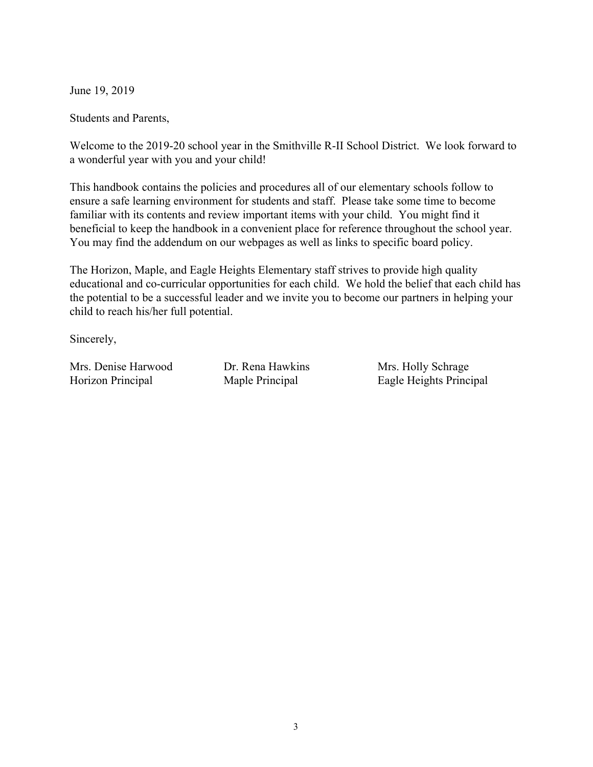June 19, 2019

Students and Parents,

Welcome to the 2019-20 school year in the Smithville R-II School District. We look forward to a wonderful year with you and your child!

This handbook contains the policies and procedures all of our elementary schools follow to ensure a safe learning environment for students and staff. Please take some time to become familiar with its contents and review important items with your child. You might find it beneficial to keep the handbook in a convenient place for reference throughout the school year. You may find the addendum on our webpages as well as links to specific board policy.

The Horizon, Maple, and Eagle Heights Elementary staff strives to provide high quality educational and co-curricular opportunities for each child. We hold the belief that each child has the potential to be a successful leader and we invite you to become our partners in helping your child to reach his/her full potential.

Sincerely,

Mrs. Denise Harwood Dr. Rena Hawkins Mrs. Holly Schrage

Horizon Principal Maple Principal Eagle Heights Principal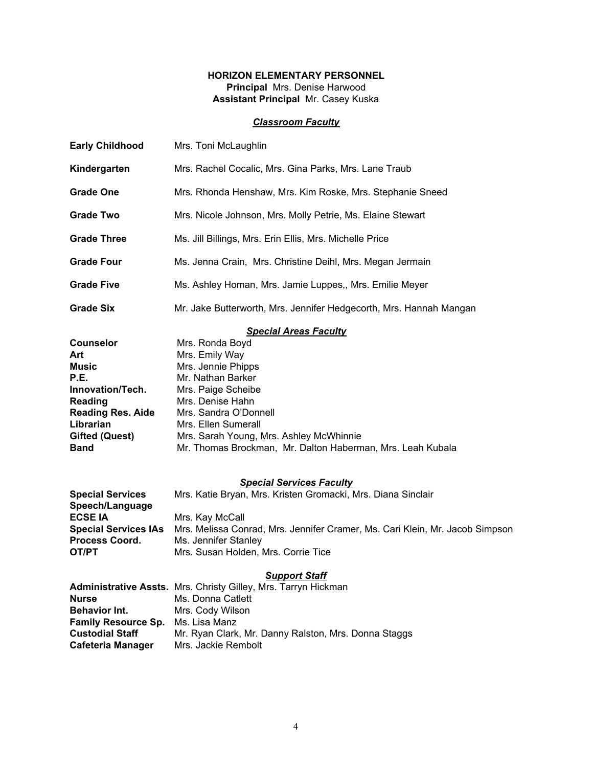#### **HORIZON ELEMENTARY PERSONNEL Principal** Mrs. Denise Harwood

**Assistant Principal** Mr. Casey Kuska

#### *Classroom Faculty*

| <b>Early Childhood</b>                                                                                                                                                 | Mrs. Toni McLaughlin                                                                                                                                                                                                                                                                                            |
|------------------------------------------------------------------------------------------------------------------------------------------------------------------------|-----------------------------------------------------------------------------------------------------------------------------------------------------------------------------------------------------------------------------------------------------------------------------------------------------------------|
| Kindergarten                                                                                                                                                           | Mrs. Rachel Cocalic, Mrs. Gina Parks, Mrs. Lane Traub                                                                                                                                                                                                                                                           |
| <b>Grade One</b>                                                                                                                                                       | Mrs. Rhonda Henshaw, Mrs. Kim Roske, Mrs. Stephanie Sneed                                                                                                                                                                                                                                                       |
| <b>Grade Two</b>                                                                                                                                                       | Mrs. Nicole Johnson, Mrs. Molly Petrie, Ms. Elaine Stewart                                                                                                                                                                                                                                                      |
| <b>Grade Three</b>                                                                                                                                                     | Ms. Jill Billings, Mrs. Erin Ellis, Mrs. Michelle Price                                                                                                                                                                                                                                                         |
| <b>Grade Four</b>                                                                                                                                                      | Ms. Jenna Crain, Mrs. Christine Deihl, Mrs. Megan Jermain                                                                                                                                                                                                                                                       |
| <b>Grade Five</b>                                                                                                                                                      | Ms. Ashley Homan, Mrs. Jamie Luppes,, Mrs. Emilie Meyer                                                                                                                                                                                                                                                         |
| <b>Grade Six</b>                                                                                                                                                       | Mr. Jake Butterworth, Mrs. Jennifer Hedgecorth, Mrs. Hannah Mangan                                                                                                                                                                                                                                              |
| <b>Counselor</b><br>Art<br><b>Music</b><br>P.E.<br>Innovation/Tech.<br><b>Reading</b><br><b>Reading Res. Aide</b><br>Librarian<br><b>Gifted (Quest)</b><br><b>Band</b> | <b>Special Areas Faculty</b><br>Mrs. Ronda Boyd<br>Mrs. Emily Way<br>Mrs. Jennie Phipps<br>Mr. Nathan Barker<br>Mrs. Paige Scheibe<br>Mrs. Denise Hahn<br>Mrs. Sandra O'Donnell<br>Mrs. Ellen Sumerall<br>Mrs. Sarah Young, Mrs. Ashley McWhinnie<br>Mr. Thomas Brockman, Mr. Dalton Haberman, Mrs. Leah Kubala |
| <b>Special Services</b><br>Speech/Language<br><b>ECSE IA</b><br><b>Special Services IAs</b><br>Process Coord.<br>OT/PT                                                 | <b>Special Services Faculty</b><br>Mrs. Katie Bryan, Mrs. Kristen Gromacki, Mrs. Diana Sinclair<br>Mrs. Kay McCall<br>Mrs. Melissa Conrad, Mrs. Jennifer Cramer, Ms. Cari Klein, Mr. Jacob Simpson<br>Ms. Jennifer Stanley<br>Mrs. Susan Holden, Mrs. Corrie Tice                                               |
| <b>Nurse</b><br><b>Behavior Int.</b><br><b>Family Resource Sp.</b><br><b>Custodial Staff</b><br><b>Cafeteria Manager</b>                                               | <b>Support Staff</b><br>Administrative Assts. Mrs. Christy Gilley, Mrs. Tarryn Hickman<br>Ms. Donna Catlett<br>Mrs. Cody Wilson<br>Ms. Lisa Manz<br>Mr. Ryan Clark, Mr. Danny Ralston, Mrs. Donna Staggs<br>Mrs. Jackie Rembolt                                                                                 |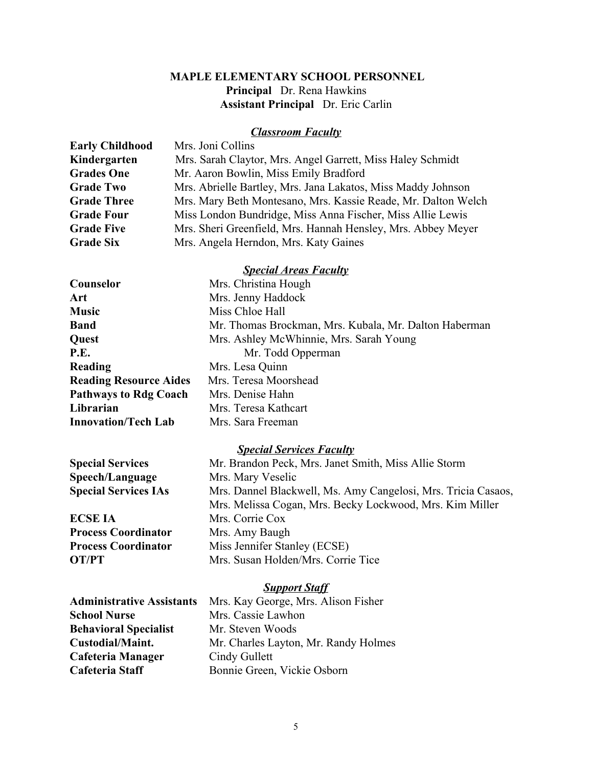#### **MAPLE ELEMENTARY SCHOOL PERSONNEL Principal** Dr. Rena Hawkins  **Assistant Principal** Dr. Eric Carlin

#### *Classroom Faculty*

| <b>Early Childhood</b> | Mrs. Joni Collins                                             |
|------------------------|---------------------------------------------------------------|
| Kindergarten           | Mrs. Sarah Claytor, Mrs. Angel Garrett, Miss Haley Schmidt    |
| <b>Grades One</b>      | Mr. Aaron Bowlin, Miss Emily Bradford                         |
| <b>Grade Two</b>       | Mrs. Abrielle Bartley, Mrs. Jana Lakatos, Miss Maddy Johnson  |
| <b>Grade Three</b>     | Mrs. Mary Beth Montesano, Mrs. Kassie Reade, Mr. Dalton Welch |
| <b>Grade Four</b>      | Miss London Bundridge, Miss Anna Fischer, Miss Allie Lewis    |
| <b>Grade Five</b>      | Mrs. Sheri Greenfield, Mrs. Hannah Hensley, Mrs. Abbey Meyer  |
| <b>Grade Six</b>       | Mrs. Angela Herndon, Mrs. Katy Gaines                         |

#### *Special Areas Faculty*

| Counselor                     | Mrs. Christina Hough                                  |
|-------------------------------|-------------------------------------------------------|
| Art                           | Mrs. Jenny Haddock                                    |
| <b>Music</b>                  | Miss Chloe Hall                                       |
| <b>Band</b>                   | Mr. Thomas Brockman, Mrs. Kubala, Mr. Dalton Haberman |
| Quest                         | Mrs. Ashley McWhinnie, Mrs. Sarah Young               |
| P.E.                          | Mr. Todd Opperman                                     |
| Reading                       | Mrs. Lesa Quinn                                       |
| <b>Reading Resource Aides</b> | Mrs. Teresa Moorshead                                 |
| <b>Pathways to Rdg Coach</b>  | Mrs. Denise Hahn                                      |
| Librarian                     | Mrs. Teresa Kathcart                                  |
| <b>Innovation/Tech Lab</b>    | Mrs. Sara Freeman                                     |

#### *Special Services Faculty*

**Speech/Language** Mrs. Mary Veselic

**ECSE IA** Mrs. Corrie Cox **Process Coordinator** Mrs. Amy Baugh

**Special Services** Mr. Brandon Peck, Mrs. Janet Smith, Miss Allie Storm **Special Services IAs** Mrs. Dannel Blackwell, Ms. Amy Cangelosi, Mrs. Tricia Casaos, Mrs. Melissa Cogan, Mrs. Becky Lockwood, Mrs. Kim Miller **Process Coordinator** Miss Jennifer Stanley (ECSE) **OT/PT** Mrs. Susan Holden/Mrs. Corrie Tice

#### *Support Staff*

**School Nurse** Mrs. Cassie Lawhon **Behavioral Specialist** Mr. Steven Woods **Cafeteria Manager** Cindy Gullett Cafeteria Staff Bonnie Green, Vickie Osborn

**Administrative Assistants** Mrs. Kay George, Mrs. Alison Fisher **Custodial/Maint.** Mr. Charles Layton, Mr. Randy Holmes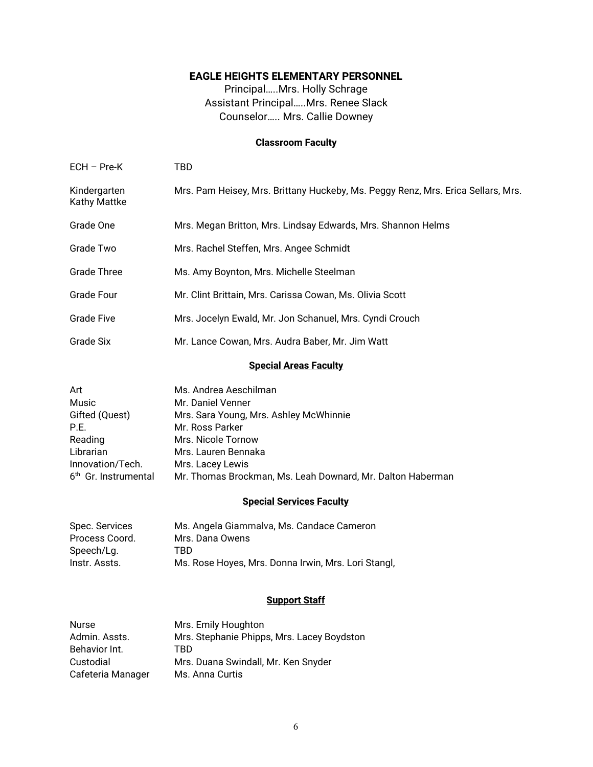#### **EAGLE HEIGHTS ELEMENTARY PERSONNEL**

Principal…..Mrs. Holly Schrage Assistant Principal…..Mrs. Renee Slack Counselor….. Mrs. Callie Downey

#### **Classroom Faculty**

| <b>Special Areas Faculty</b>        |                                                                                  |  |
|-------------------------------------|----------------------------------------------------------------------------------|--|
| Grade Six                           | Mr. Lance Cowan, Mrs. Audra Baber, Mr. Jim Watt                                  |  |
| <b>Grade Five</b>                   | Mrs. Jocelyn Ewald, Mr. Jon Schanuel, Mrs. Cyndi Crouch                          |  |
| Grade Four                          | Mr. Clint Brittain, Mrs. Carissa Cowan, Ms. Olivia Scott                         |  |
| <b>Grade Three</b>                  | Ms. Amy Boynton, Mrs. Michelle Steelman                                          |  |
| Grade Two                           | Mrs. Rachel Steffen, Mrs. Angee Schmidt                                          |  |
| Grade One                           | Mrs. Megan Britton, Mrs. Lindsay Edwards, Mrs. Shannon Helms                     |  |
| Kindergarten<br><b>Kathy Mattke</b> | Mrs. Pam Heisey, Mrs. Brittany Huckeby, Ms. Peggy Renz, Mrs. Erica Sellars, Mrs. |  |
| $ECH$ – Pre-K                       | TBD                                                                              |  |

| Ms. Andrea Aeschilman                                      |
|------------------------------------------------------------|
| Mr. Daniel Venner                                          |
| Mrs. Sara Young, Mrs. Ashley McWhinnie                     |
| Mr. Ross Parker                                            |
| Mrs. Nicole Tornow                                         |
| Mrs. Lauren Bennaka                                        |
| Mrs. Lacey Lewis                                           |
| Mr. Thomas Brockman, Ms. Leah Downard, Mr. Dalton Haberman |
|                                                            |

#### **Special Services Faculty**

| Spec. Services | Ms. Angela Giammalva, Ms. Candace Cameron           |
|----------------|-----------------------------------------------------|
| Process Coord. | Mrs. Dana Owens                                     |
| Speech/Lg.     | TBD.                                                |
| Instr. Assts.  | Ms. Rose Hoyes, Mrs. Donna Irwin, Mrs. Lori Stangl, |

#### **Support Staff**

| <b>Nurse</b>      | Mrs. Emily Houghton                        |
|-------------------|--------------------------------------------|
| Admin, Assts.     | Mrs. Stephanie Phipps, Mrs. Lacey Boydston |
| Behavior Int.     | TRD                                        |
| Custodial         | Mrs. Duana Swindall, Mr. Ken Snyder        |
| Cafeteria Manager | Ms. Anna Curtis                            |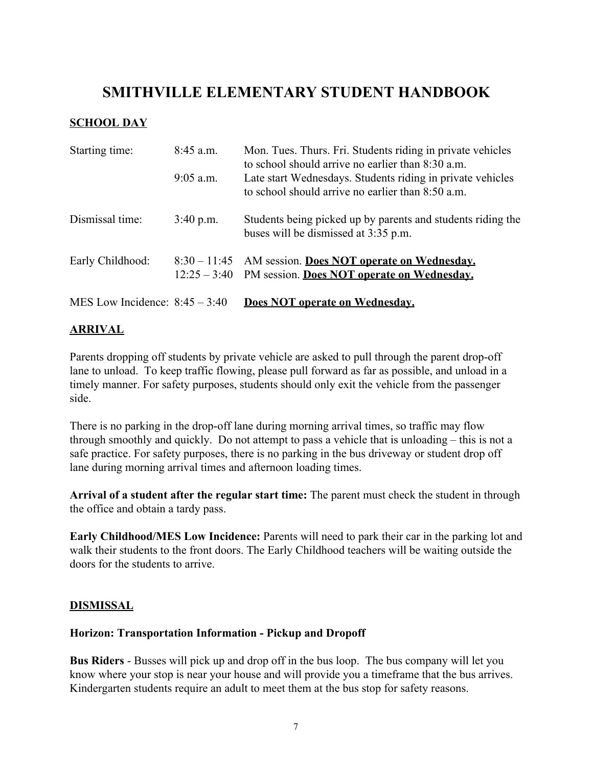### **SMITHVILLE ELEMENTARY STUDENT HANDBOOK**

#### **SCHOOL DAY**

| Starting time:                   | $8:45$ a.m.<br>$9:05$ a.m. | Mon. Tues. Thurs. Fri. Students riding in private vehicles<br>to school should arrive no earlier than 8:30 a.m.<br>Late start Wednesdays. Students riding in private vehicles<br>to school should arrive no earlier than 8:50 a.m. |
|----------------------------------|----------------------------|------------------------------------------------------------------------------------------------------------------------------------------------------------------------------------------------------------------------------------|
| Dismissal time:                  | $3:40$ p.m.                | Students being picked up by parents and students riding the<br>buses will be dismissed at 3:35 p.m.                                                                                                                                |
| Early Childhood:                 |                            | 8:30 – 11:45 AM session. Does NOT operate on Wednesday.<br>$12:25 - 3:40$ PM session. Does NOT operate on Wednesday.                                                                                                               |
| MES Low Incidence: $8:45 - 3:40$ |                            | Does NOT operate on Wednesday.                                                                                                                                                                                                     |

#### **ARRIVAL**

Parents dropping off students by private vehicle are asked to pull through the parent drop-off lane to unload. To keep traffic flowing, please pull forward as far as possible, and unload in a timely manner. For safety purposes, students should only exit the vehicle from the passenger side.

There is no parking in the drop-off lane during morning arrival times, so traffic may flow through smoothly and quickly. Do not attempt to pass a vehicle that is unloading – this is not a safe practice. For safety purposes, there is no parking in the bus driveway or student drop off lane during morning arrival times and afternoon loading times.

**Arrival of a student after the regular start time:** The parent must check the student in through the office and obtain a tardy pass.

**Early Childhood/MES Low Incidence:** Parents will need to park their car in the parking lot and walk their students to the front doors. The Early Childhood teachers will be waiting outside the doors for the students to arrive.

#### **DISMISSAL**

#### **Horizon: Transportation Information - Pickup and Dropoff**

**Bus Riders** - Busses will pick up and drop off in the bus loop. The bus company will let you know where your stop is near your house and will provide you a timeframe that the bus arrives. Kindergarten students require an adult to meet them at the bus stop for safety reasons.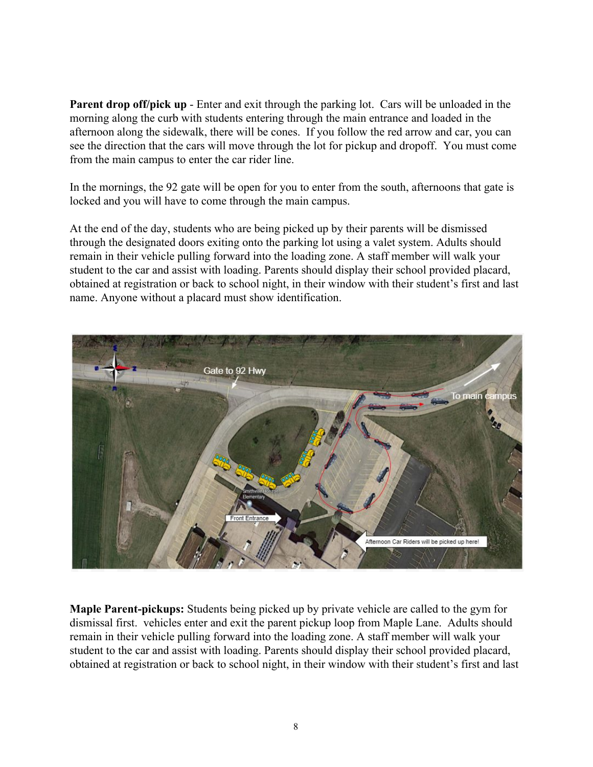**Parent drop off/pick up** - Enter and exit through the parking lot. Cars will be unloaded in the morning along the curb with students entering through the main entrance and loaded in the afternoon along the sidewalk, there will be cones. If you follow the red arrow and car, you can see the direction that the cars will move through the lot for pickup and dropoff. You must come from the main campus to enter the car rider line.

In the mornings, the 92 gate will be open for you to enter from the south, afternoons that gate is locked and you will have to come through the main campus.

At the end of the day, students who are being picked up by their parents will be dismissed through the designated doors exiting onto the parking lot using a valet system. Adults should remain in their vehicle pulling forward into the loading zone. A staff member will walk your student to the car and assist with loading. Parents should display their school provided placard, obtained at registration or back to school night, in their window with their student's first and last name. Anyone without a placard must show identification.



**Maple Parent-pickups:** Students being picked up by private vehicle are called to the gym for dismissal first. vehicles enter and exit the parent pickup loop from Maple Lane. Adults should remain in their vehicle pulling forward into the loading zone. A staff member will walk your student to the car and assist with loading. Parents should display their school provided placard, obtained at registration or back to school night, in their window with their student's first and last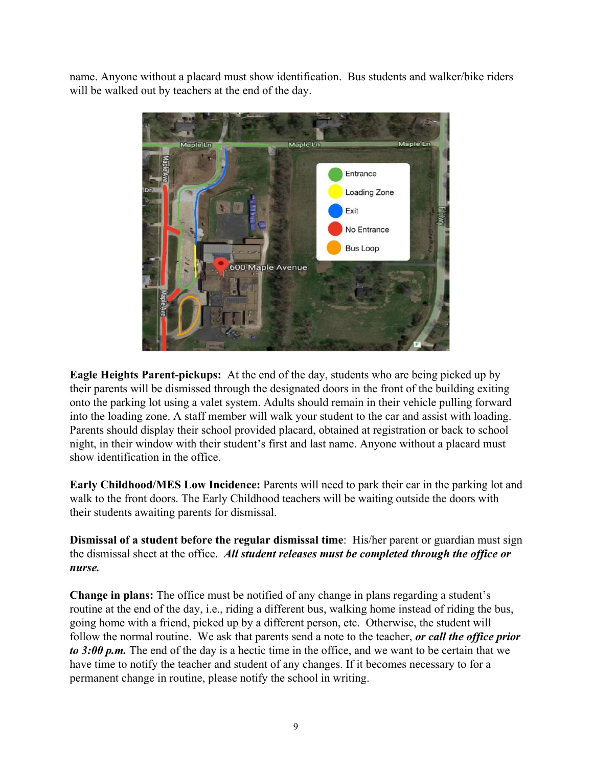name. Anyone without a placard must show identification. Bus students and walker/bike riders will be walked out by teachers at the end of the day.



**Eagle Heights Parent-pickups:** At the end of the day, students who are being picked up by their parents will be dismissed through the designated doors in the front of the building exiting onto the parking lot using a valet system. Adults should remain in their vehicle pulling forward into the loading zone. A staff member will walk your student to the car and assist with loading. Parents should display their school provided placard, obtained at registration or back to school night, in their window with their student's first and last name. Anyone without a placard must show identification in the office.

**Early Childhood/MES Low Incidence:** Parents will need to park their car in the parking lot and walk to the front doors. The Early Childhood teachers will be waiting outside the doors with their students awaiting parents for dismissal.

**Dismissal of a student before the regular dismissal time**: His/her parent or guardian must sign the dismissal sheet at the office. *All student releases must be completed through the office or nurse.*

**Change in plans:** The office must be notified of any change in plans regarding a student's routine at the end of the day, i.e., riding a different bus, walking home instead of riding the bus, going home with a friend, picked up by a different person, etc. Otherwise, the student will follow the normal routine. We ask that parents send a note to the teacher, *or call the office prior to 3:00 p.m.* The end of the day is a hectic time in the office, and we want to be certain that we have time to notify the teacher and student of any changes. If it becomes necessary to for a permanent change in routine, please notify the school in writing.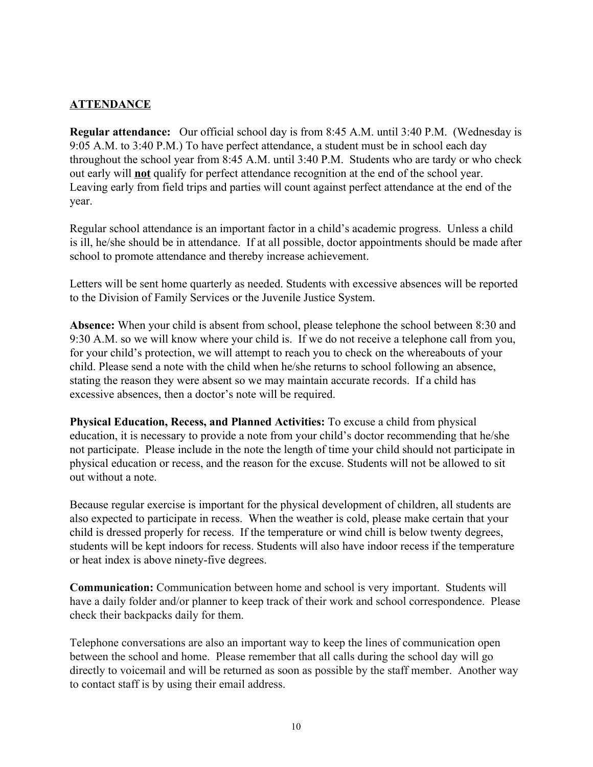#### **ATTENDANCE**

**Regular attendance:** Our official school day is from 8:45 A.M. until 3:40 P.M. (Wednesday is 9:05 A.M. to 3:40 P.M.) To have perfect attendance, a student must be in school each day throughout the school year from 8:45 A.M. until 3:40 P.M. Students who are tardy or who check out early will **not** qualify for perfect attendance recognition at the end of the school year. Leaving early from field trips and parties will count against perfect attendance at the end of the year.

Regular school attendance is an important factor in a child's academic progress. Unless a child is ill, he/she should be in attendance. If at all possible, doctor appointments should be made after school to promote attendance and thereby increase achievement.

Letters will be sent home quarterly as needed. Students with excessive absences will be reported to the Division of Family Services or the Juvenile Justice System.

**Absence:** When your child is absent from school, please telephone the school between 8:30 and 9:30 A.M. so we will know where your child is. If we do not receive a telephone call from you, for your child's protection, we will attempt to reach you to check on the whereabouts of your child. Please send a note with the child when he/she returns to school following an absence, stating the reason they were absent so we may maintain accurate records. If a child has excessive absences, then a doctor's note will be required.

**Physical Education, Recess, and Planned Activities:** To excuse a child from physical education, it is necessary to provide a note from your child's doctor recommending that he/she not participate. Please include in the note the length of time your child should not participate in physical education or recess, and the reason for the excuse. Students will not be allowed to sit out without a note.

Because regular exercise is important for the physical development of children, all students are also expected to participate in recess. When the weather is cold, please make certain that your child is dressed properly for recess. If the temperature or wind chill is below twenty degrees, students will be kept indoors for recess. Students will also have indoor recess if the temperature or heat index is above ninety-five degrees.

**Communication:** Communication between home and school is very important. Students will have a daily folder and/or planner to keep track of their work and school correspondence. Please check their backpacks daily for them.

Telephone conversations are also an important way to keep the lines of communication open between the school and home. Please remember that all calls during the school day will go directly to voicemail and will be returned as soon as possible by the staff member. Another way to contact staff is by using their email address.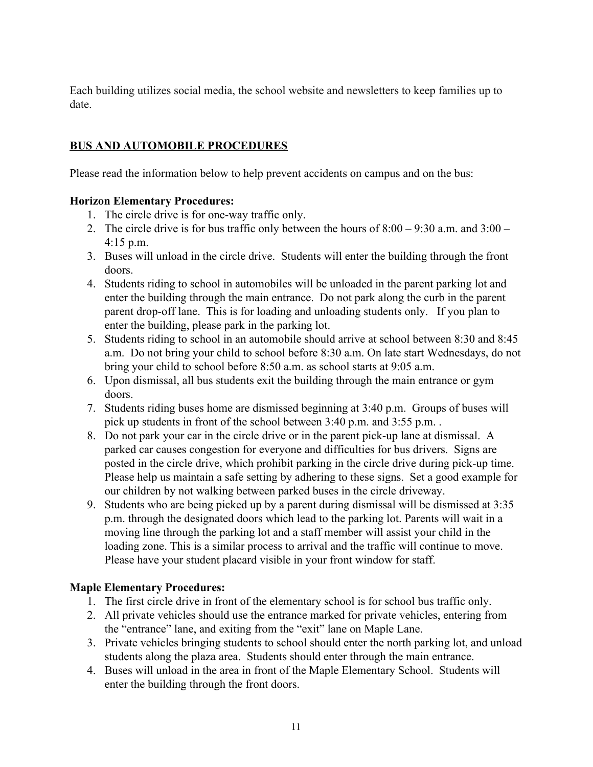Each building utilizes social media, the school website and newsletters to keep families up to date.

#### **BUS AND AUTOMOBILE PROCEDURES**

Please read the information below to help prevent accidents on campus and on the bus:

#### **Horizon Elementary Procedures:**

- 1. The circle drive is for one-way traffic only.
- 2. The circle drive is for bus traffic only between the hours of  $8:00 9:30$  a.m. and  $3:00 1$ 4:15 p.m.
- 3. Buses will unload in the circle drive. Students will enter the building through the front doors.
- 4. Students riding to school in automobiles will be unloaded in the parent parking lot and enter the building through the main entrance. Do not park along the curb in the parent parent drop-off lane. This is for loading and unloading students only. If you plan to enter the building, please park in the parking lot.
- 5. Students riding to school in an automobile should arrive at school between 8:30 and 8:45 a.m. Do not bring your child to school before 8:30 a.m. On late start Wednesdays, do not bring your child to school before 8:50 a.m. as school starts at 9:05 a.m.
- 6. Upon dismissal, all bus students exit the building through the main entrance or gym doors.
- 7. Students riding buses home are dismissed beginning at 3:40 p.m. Groups of buses will pick up students in front of the school between 3:40 p.m. and 3:55 p.m. .
- 8. Do not park your car in the circle drive or in the parent pick-up lane at dismissal.A parked car causes congestion for everyone and difficulties for bus drivers. Signs are posted in the circle drive, which prohibit parking in the circle drive during pick-up time. Please help us maintain a safe setting by adhering to these signs. Set a good example for our children by not walking between parked buses in the circle driveway.
- 9. Students who are being picked up by a parent during dismissal will be dismissed at 3:35 p.m. through the designated doors which lead to the parking lot. Parents will wait in a moving line through the parking lot and a staff member will assist your child in the loading zone. This is a similar process to arrival and the traffic will continue to move. Please have your student placard visible in your front window for staff.

#### **Maple Elementary Procedures:**

- 1. The first circle drive in front of the elementary school is for school bus traffic only.
- 2. All private vehicles should use the entrance marked for private vehicles, entering from the "entrance" lane, and exiting from the "exit" lane on Maple Lane.
- 3. Private vehicles bringing students to school should enter the north parking lot, and unload students along the plaza area. Students should enter through the main entrance.
- 4. Buses will unload in the area in front of the Maple Elementary School. Students will enter the building through the front doors.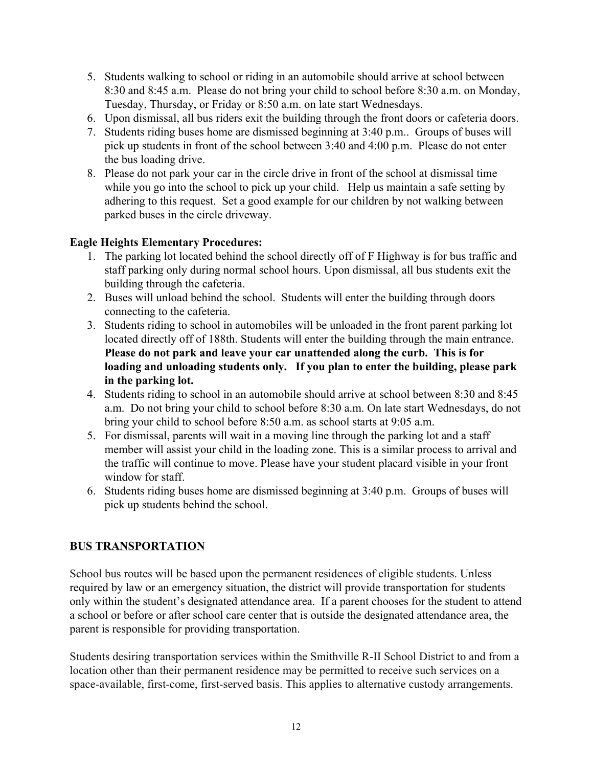- 5. Students walking to school or riding in an automobile should arrive at school between 8:30 and 8:45 a.m. Please do not bring your child to school before 8:30 a.m. on Monday, Tuesday, Thursday, or Friday or 8:50 a.m. on late start Wednesdays.
- 6. Upon dismissal, all bus riders exit the building through the front doors or cafeteria doors.
- 7. Students riding buses home are dismissed beginning at 3:40 p.m.. Groups of buses will pick up students in front of the school between 3:40 and 4:00 p.m. Please do not enter the bus loading drive.
- 8. Please do not park your car in the circle drive in front of the school at dismissal time while you go into the school to pick up your child. Help us maintain a safe setting by adhering to this request. Set a good example for our children by not walking between parked buses in the circle driveway.

#### **Eagle Heights Elementary Procedures:**

- 1. The parking lot located behind the school directly off of F Highway is for bus traffic and staff parking only during normal school hours. Upon dismissal, all bus students exit the building through the cafeteria.
- 2. Buses will unload behind the school. Students will enter the building through doors connecting to the cafeteria.
- 3. Students riding to school in automobiles will be unloaded in the front parent parking lot located directly off of 188th. Students will enter the building through the main entrance. **Please do not park and leave your car unattended along the curb. This is for loading and unloading students only. If you plan to enter the building, please park in the parking lot.**
- 4. Students riding to school in an automobile should arrive at school between 8:30 and 8:45 a.m. Do not bring your child to school before 8:30 a.m. On late start Wednesdays, do not bring your child to school before 8:50 a.m. as school starts at 9:05 a.m.
- 5. For dismissal, parents will wait in a moving line through the parking lot and a staff member will assist your child in the loading zone. This is a similar process to arrival and the traffic will continue to move. Please have your student placard visible in your front window for staff.
- 6. Students riding buses home are dismissed beginning at 3:40 p.m. Groups of buses will pick up students behind the school.

#### **BUS TRANSPORTATION**

School bus routes will be based upon the permanent residences of eligible students. Unless required by law or an emergency situation, the district will provide transportation for students only within the student's designated attendance area. If a parent chooses for the student to attend a school or before or after school care center that is outside the designated attendance area, the parent is responsible for providing transportation.

Students desiring transportation services within the Smithville R-II School District to and from a location other than their permanent residence may be permitted to receive such services on a space-available, first-come, first-served basis. This applies to alternative custody arrangements.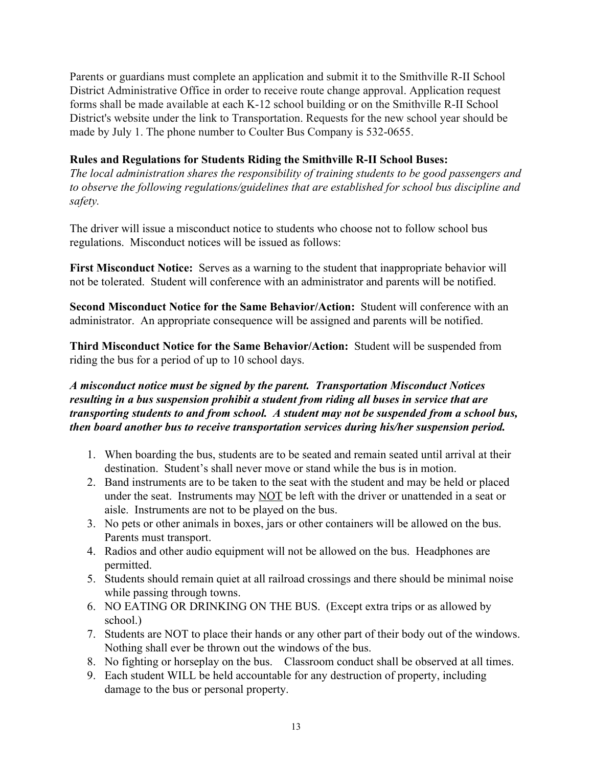Parents or guardians must complete an application and submit it to the Smithville R-II School District Administrative Office in order to receive route change approval. Application request forms shall be made available at each K-12 school building or on the Smithville R-II School District's website under the link to Transportation. Requests for the new school year should be made by July 1. The phone number to Coulter Bus Company is 532-0655.

#### **Rules and Regulations for Students Riding the Smithville R-II School Buses:**

*The local administration shares the responsibility of training students to be good passengers and to observe the following regulations/guidelines that are established for school bus discipline and safety.*

The driver will issue a misconduct notice to students who choose not to follow school bus regulations. Misconduct notices will be issued as follows:

**First Misconduct Notice:** Serves as a warning to the student that inappropriate behavior will not be tolerated. Student will conference with an administrator and parents will be notified.

**Second Misconduct Notice for the Same Behavior/Action:** Student will conference with an administrator. An appropriate consequence will be assigned and parents will be notified.

**Third Misconduct Notice for the Same Behavior/Action:** Student will be suspended from riding the bus for a period of up to 10 school days.

#### *A misconduct notice must be signed by the parent. Transportation Misconduct Notices resulting in a bus suspension prohibit a student from riding all buses in service that are transporting students to and from school. A student may not be suspended from a school bus, then board another bus to receive transportation services during his/her suspension period.*

- 1. When boarding the bus, students are to be seated and remain seated until arrival at their destination. Student's shall never move or stand while the bus is in motion.
- 2. Band instruments are to be taken to the seat with the student and may be held or placed under the seat. Instruments may NOT be left with the driver or unattended in a seat or aisle. Instruments are not to be played on the bus.
- 3. No pets or other animals in boxes, jars or other containers will be allowed on the bus. Parents must transport.
- 4. Radios and other audio equipment will not be allowed on the bus. Headphones are permitted.
- 5. Students should remain quiet at all railroad crossings and there should be minimal noise while passing through towns.
- 6. NO EATING OR DRINKING ON THE BUS. (Except extra trips or as allowed by school.)
- 7. Students are NOT to place their hands or any other part of their body out of the windows. Nothing shall ever be thrown out the windows of the bus.
- 8. No fighting or horseplay on the bus. Classroom conduct shall be observed at all times.
- 9. Each student WILL be held accountable for any destruction of property, including damage to the bus or personal property.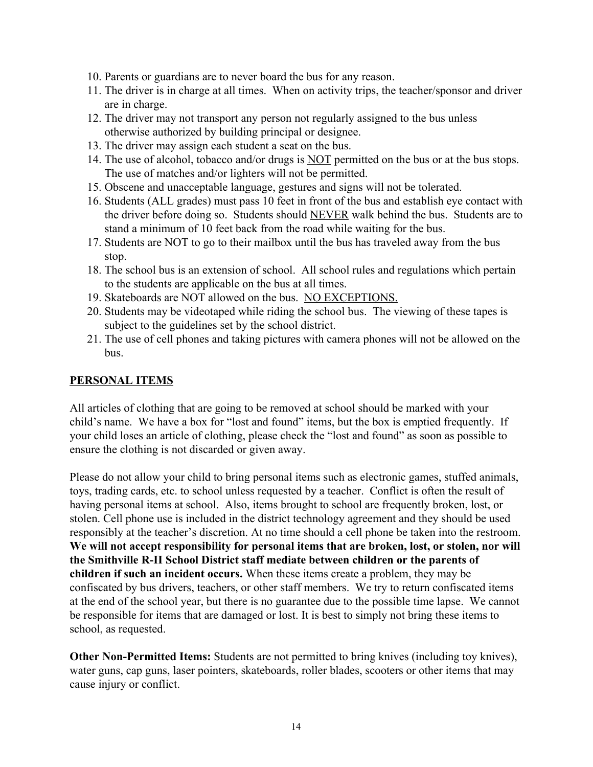- 10. Parents or guardians are to never board the bus for any reason.
- 11. The driver is in charge at all times. When on activity trips, the teacher/sponsor and driver are in charge.
- 12. The driver may not transport any person not regularly assigned to the bus unless otherwise authorized by building principal or designee.
- 13. The driver may assign each student a seat on the bus.
- 14. The use of alcohol, tobacco and/or drugs is NOT permitted on the bus or at the bus stops. The use of matches and/or lighters will not be permitted.
- 15. Obscene and unacceptable language, gestures and signs will not be tolerated.
- 16. Students (ALL grades) must pass 10 feet in front of the bus and establish eye contact with the driver before doing so. Students should NEVER walk behind the bus. Students are to stand a minimum of 10 feet back from the road while waiting for the bus.
- 17. Students are NOT to go to their mailbox until the bus has traveled away from the bus stop.
- 18. The school bus is an extension of school. All school rules and regulations which pertain to the students are applicable on the bus at all times.
- 19. Skateboards are NOT allowed on the bus. NO EXCEPTIONS.
- 20. Students may be videotaped while riding the school bus. The viewing of these tapes is subject to the guidelines set by the school district.
- 21. The use of cell phones and taking pictures with camera phones will not be allowed on the bus.

#### **PERSONAL ITEMS**

All articles of clothing that are going to be removed at school should be marked with your child's name. We have a box for "lost and found" items, but the box is emptied frequently. If your child loses an article of clothing, please check the "lost and found" as soon as possible to ensure the clothing is not discarded or given away.

Please do not allow your child to bring personal items such as electronic games, stuffed animals, toys, trading cards, etc. to school unless requested by a teacher. Conflict is often the result of having personal items at school. Also, items brought to school are frequently broken, lost, or stolen. Cell phone use is included in the district technology agreement and they should be used responsibly at the teacher's discretion. At no time should a cell phone be taken into the restroom. **We will not accept responsibility for personal items that are broken, lost, or stolen, nor will the Smithville R-II School District staff mediate between children or the parents of children if such an incident occurs.** When these items create a problem, they may be confiscated by bus drivers, teachers, or other staff members. We try to return confiscated items at the end of the school year, but there is no guarantee due to the possible time lapse. We cannot be responsible for items that are damaged or lost. It is best to simply not bring these items to school, as requested.

**Other Non-Permitted Items:** Students are not permitted to bring knives (including toy knives), water guns, cap guns, laser pointers, skateboards, roller blades, scooters or other items that may cause injury or conflict.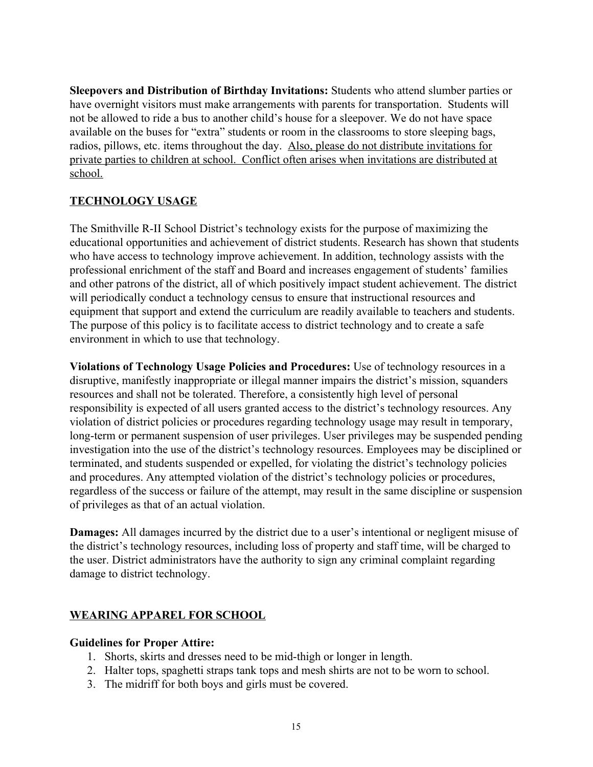**Sleepovers and Distribution of Birthday Invitations:** Students who attend slumber parties or have overnight visitors must make arrangements with parents for transportation. Students will not be allowed to ride a bus to another child's house for a sleepover. We do not have space available on the buses for "extra" students or room in the classrooms to store sleeping bags, radios, pillows, etc. items throughout the day. Also, please do not distribute invitations for private parties to children at school. Conflict often arises when invitations are distributed at school.

#### **TECHNOLOGY USAGE**

The Smithville R-II School District's technology exists for the purpose of maximizing the educational opportunities and achievement of district students. Research has shown that students who have access to technology improve achievement. In addition, technology assists with the professional enrichment of the staff and Board and increases engagement of students' families and other patrons of the district, all of which positively impact student achievement. The district will periodically conduct a technology census to ensure that instructional resources and equipment that support and extend the curriculum are readily available to teachers and students. The purpose of this policy is to facilitate access to district technology and to create a safe environment in which to use that technology.

**Violations of Technology Usage Policies and Procedures:** Use of technology resources in a disruptive, manifestly inappropriate or illegal manner impairs the district's mission, squanders resources and shall not be tolerated. Therefore, a consistently high level of personal responsibility is expected of all users granted access to the district's technology resources. Any violation of district policies or procedures regarding technology usage may result in temporary, long-term or permanent suspension of user privileges. User privileges may be suspended pending investigation into the use of the district's technology resources. Employees may be disciplined or terminated, and students suspended or expelled, for violating the district's technology policies and procedures. Any attempted violation of the district's technology policies or procedures, regardless of the success or failure of the attempt, may result in the same discipline or suspension of privileges as that of an actual violation.

**Damages:** All damages incurred by the district due to a user's intentional or negligent misuse of the district's technology resources, including loss of property and staff time, will be charged to the user. District administrators have the authority to sign any criminal complaint regarding damage to district technology.

#### **WEARING APPAREL FOR SCHOOL**

#### **Guidelines for Proper Attire:**

- 1. Shorts, skirts and dresses need to be mid-thigh or longer in length.
- 2. Halter tops, spaghetti straps tank tops and mesh shirts are not to be worn to school.
- 3. The midriff for both boys and girls must be covered.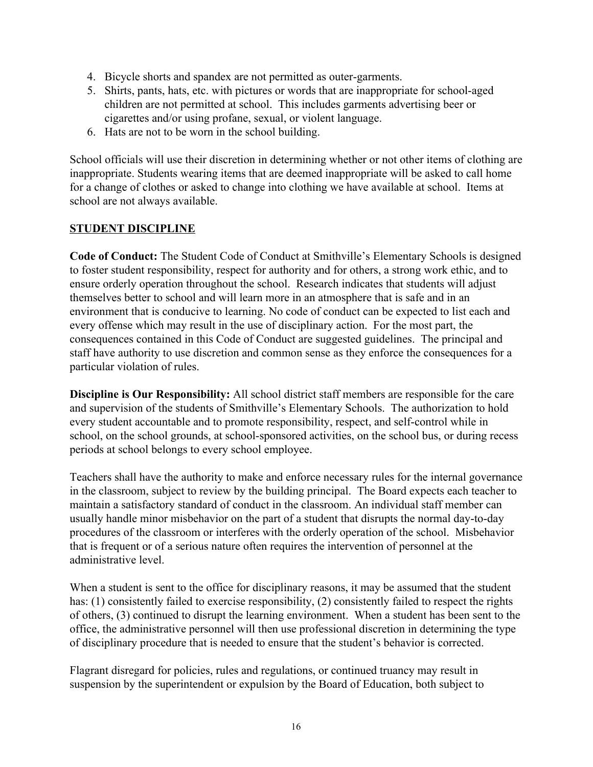- 4. Bicycle shorts and spandex are not permitted as outer-garments.
- 5. Shirts, pants, hats, etc. with pictures or words that are inappropriate for school-aged children are not permitted at school. This includes garments advertising beer or cigarettes and/or using profane, sexual, or violent language.
- 6. Hats are not to be worn in the school building.

School officials will use their discretion in determining whether or not other items of clothing are inappropriate. Students wearing items that are deemed inappropriate will be asked to call home for a change of clothes or asked to change into clothing we have available at school. Items at school are not always available.

#### **STUDENT DISCIPLINE**

**Code of Conduct:** The Student Code of Conduct at Smithville's Elementary Schools is designed to foster student responsibility, respect for authority and for others, a strong work ethic, and to ensure orderly operation throughout the school. Research indicates that students will adjust themselves better to school and will learn more in an atmosphere that is safe and in an environment that is conducive to learning. No code of conduct can be expected to list each and every offense which may result in the use of disciplinary action. For the most part, the consequences contained in this Code of Conduct are suggested guidelines. The principal and staff have authority to use discretion and common sense as they enforce the consequences for a particular violation of rules.

**Discipline is Our Responsibility:** All school district staff members are responsible for the care and supervision of the students of Smithville's Elementary Schools. The authorization to hold every student accountable and to promote responsibility, respect, and self-control while in school, on the school grounds, at school-sponsored activities, on the school bus, or during recess periods at school belongs to every school employee.

Teachers shall have the authority to make and enforce necessary rules for the internal governance in the classroom, subject to review by the building principal. The Board expects each teacher to maintain a satisfactory standard of conduct in the classroom. An individual staff member can usually handle minor misbehavior on the part of a student that disrupts the normal day-to-day procedures of the classroom or interferes with the orderly operation of the school. Misbehavior that is frequent or of a serious nature often requires the intervention of personnel at the administrative level.

When a student is sent to the office for disciplinary reasons, it may be assumed that the student has: (1) consistently failed to exercise responsibility, (2) consistently failed to respect the rights of others, (3) continued to disrupt the learning environment. When a student has been sent to the office, the administrative personnel will then use professional discretion in determining the type of disciplinary procedure that is needed to ensure that the student's behavior is corrected.

Flagrant disregard for policies, rules and regulations, or continued truancy may result in suspension by the superintendent or expulsion by the Board of Education, both subject to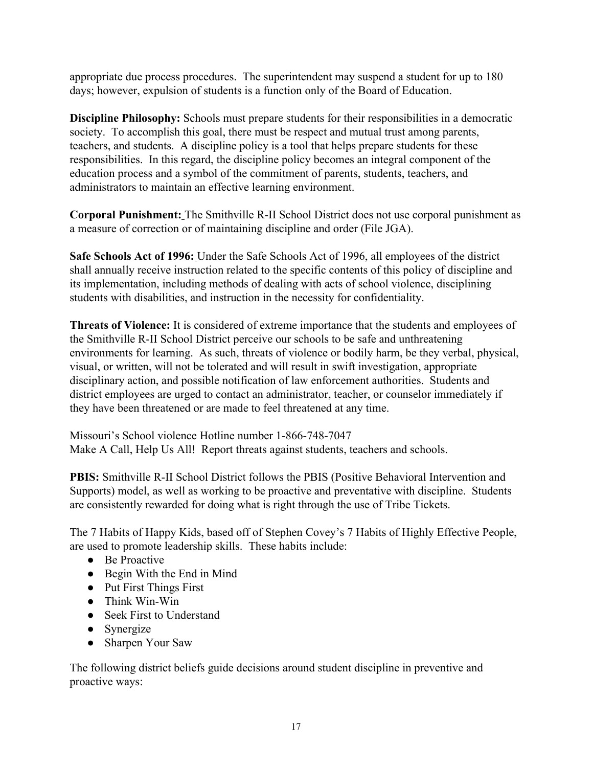appropriate due process procedures. The superintendent may suspend a student for up to 180 days; however, expulsion of students is a function only of the Board of Education.

**Discipline Philosophy:** Schools must prepare students for their responsibilities in a democratic society. To accomplish this goal, there must be respect and mutual trust among parents, teachers, and students. A discipline policy is a tool that helps prepare students for these responsibilities. In this regard, the discipline policy becomes an integral component of the education process and a symbol of the commitment of parents, students, teachers, and administrators to maintain an effective learning environment.

**Corporal Punishment:** The Smithville R-II School District does not use corporal punishment as a measure of correction or of maintaining discipline and order (File JGA).

**Safe Schools Act of 1996:** Under the Safe Schools Act of 1996, all employees of the district shall annually receive instruction related to the specific contents of this policy of discipline and its implementation, including methods of dealing with acts of school violence, disciplining students with disabilities, and instruction in the necessity for confidentiality.

**Threats of Violence:** It is considered of extreme importance that the students and employees of the Smithville R-II School District perceive our schools to be safe and unthreatening environments for learning. As such, threats of violence or bodily harm, be they verbal, physical, visual, or written, will not be tolerated and will result in swift investigation, appropriate disciplinary action, and possible notification of law enforcement authorities. Students and district employees are urged to contact an administrator, teacher, or counselor immediately if they have been threatened or are made to feel threatened at any time.

Missouri's School violence Hotline number 1-866-748-7047 Make A Call, Help Us All! Report threats against students, teachers and schools.

**PBIS:** Smithville R-II School District follows the PBIS (Positive Behavioral Intervention and Supports) model, as well as working to be proactive and preventative with discipline. Students are consistently rewarded for doing what is right through the use of Tribe Tickets.

The 7 Habits of Happy Kids, based off of Stephen Covey's 7 Habits of Highly Effective People, are used to promote leadership skills. These habits include:

- Be Proactive
- Begin With the End in Mind
- Put First Things First
- Think Win-Win
- Seek First to Understand
- Synergize
- Sharpen Your Saw

The following district beliefs guide decisions around student discipline in preventive and proactive ways: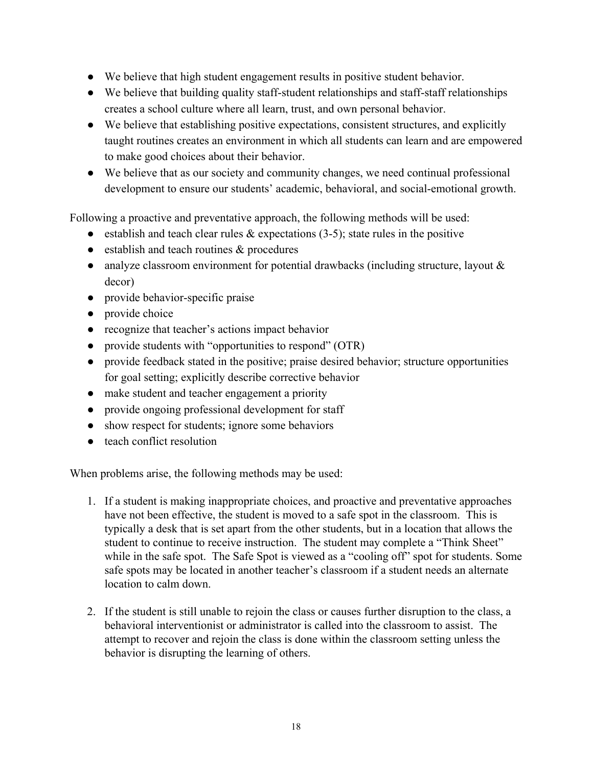- We believe that high student engagement results in positive student behavior.
- We believe that building quality staff-student relationships and staff-staff relationships creates a school culture where all learn, trust, and own personal behavior.
- We believe that establishing positive expectations, consistent structures, and explicitly taught routines creates an environment in which all students can learn and are empowered to make good choices about their behavior.
- We believe that as our society and community changes, we need continual professional development to ensure our students' academic, behavioral, and social-emotional growth.

Following a proactive and preventative approach, the following methods will be used:

- establish and teach clear rules  $\&$  expectations (3-5); state rules in the positive
- establish and teach routines & procedures
- analyze classroom environment for potential drawbacks (including structure, layout & decor)
- provide behavior-specific praise
- provide choice
- recognize that teacher's actions impact behavior
- provide students with "opportunities to respond" (OTR)
- provide feedback stated in the positive; praise desired behavior; structure opportunities for goal setting; explicitly describe corrective behavior
- make student and teacher engagement a priority
- provide ongoing professional development for staff
- show respect for students; ignore some behaviors
- teach conflict resolution

When problems arise, the following methods may be used:

- 1. If a student is making inappropriate choices, and proactive and preventative approaches have not been effective, the student is moved to a safe spot in the classroom. This is typically a desk that is set apart from the other students, but in a location that allows the student to continue to receive instruction. The student may complete a "Think Sheet" while in the safe spot. The Safe Spot is viewed as a "cooling off" spot for students. Some safe spots may be located in another teacher's classroom if a student needs an alternate location to calm down.
- 2. If the student is still unable to rejoin the class or causes further disruption to the class, a behavioral interventionist or administrator is called into the classroom to assist. The attempt to recover and rejoin the class is done within the classroom setting unless the behavior is disrupting the learning of others.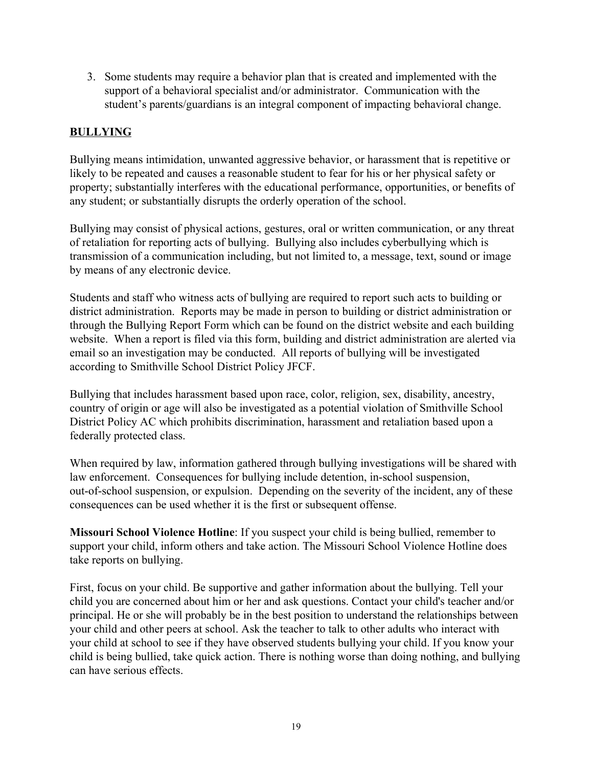3. Some students may require a behavior plan that is created and implemented with the support of a behavioral specialist and/or administrator. Communication with the student's parents/guardians is an integral component of impacting behavioral change.

#### **BULLYING**

Bullying means intimidation, unwanted aggressive behavior, or harassment that is repetitive or likely to be repeated and causes a reasonable student to fear for his or her physical safety or property; substantially interferes with the educational performance, opportunities, or benefits of any student; or substantially disrupts the orderly operation of the school.

Bullying may consist of physical actions, gestures, oral or written communication, or any threat of retaliation for reporting acts of bullying. Bullying also includes cyberbullying which is transmission of a communication including, but not limited to, a message, text, sound or image by means of any electronic device.

Students and staff who witness acts of bullying are required to report such acts to building or district administration. Reports may be made in person to building or district administration or through the Bullying Report Form which can be found on the district website and each building website. When a report is filed via this form, building and district administration are alerted via email so an investigation may be conducted. All reports of bullying will be investigated according to Smithville School District Policy JFCF.

Bullying that includes harassment based upon race, color, religion, sex, disability, ancestry, country of origin or age will also be investigated as a potential violation of Smithville School District Policy AC which prohibits discrimination, harassment and retaliation based upon a federally protected class.

When required by law, information gathered through bullying investigations will be shared with law enforcement. Consequences for bullying include detention, in-school suspension, out-of-school suspension, or expulsion. Depending on the severity of the incident, any of these consequences can be used whether it is the first or subsequent offense.

**Missouri School Violence Hotline**: If you suspect your child is being bullied, remember to support your child, inform others and take action. The Missouri School Violence Hotline does take reports on bullying.

First, focus on your child. Be supportive and gather information about the bullying. Tell your child you are concerned about him or her and ask questions. Contact your child's teacher and/or principal. He or she will probably be in the best position to understand the relationships between your child and other peers at school. Ask the teacher to talk to other adults who interact with your child at school to see if they have observed students bullying your child. If you know your child is being bullied, take quick action. There is nothing worse than doing nothing, and bullying can have serious effects.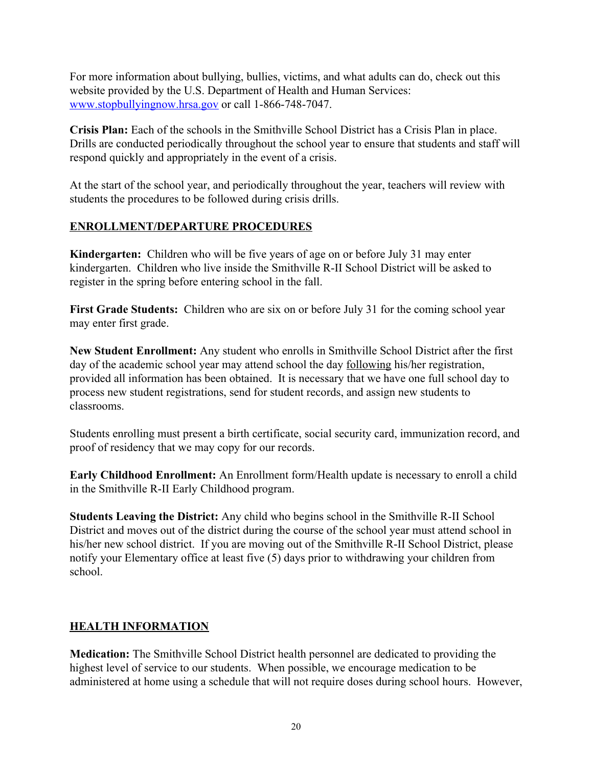For more information about bullying, bullies, victims, and what adults can do, check out this website provided by the U.S. Department of Health and Human Services: [www.stopbullyingnow.hrsa.gov](http://www.stopbullyingnow.hrsa.gov/) or call 1-866-748-7047.

**Crisis Plan:** Each of the schools in the Smithville School District has a Crisis Plan in place. Drills are conducted periodically throughout the school year to ensure that students and staff will respond quickly and appropriately in the event of a crisis.

At the start of the school year, and periodically throughout the year, teachers will review with students the procedures to be followed during crisis drills.

#### **ENROLLMENT/DEPARTURE PROCEDURES**

**Kindergarten:** Children who will be five years of age on or before July 31 may enter kindergarten. Children who live inside the Smithville R-II School District will be asked to register in the spring before entering school in the fall.

**First Grade Students:** Children who are six on or before July 31 for the coming school year may enter first grade.

**New Student Enrollment:** Any student who enrolls in Smithville School District after the first day of the academic school year may attend school the day following his/her registration, provided all information has been obtained. It is necessary that we have one full school day to process new student registrations, send for student records, and assign new students to classrooms.

Students enrolling must present a birth certificate, social security card, immunization record, and proof of residency that we may copy for our records.

**Early Childhood Enrollment:** An Enrollment form/Health update is necessary to enroll a child in the Smithville R-II Early Childhood program.

**Students Leaving the District:** Any child who begins school in the Smithville R-II School District and moves out of the district during the course of the school year must attend school in his/her new school district. If you are moving out of the Smithville R-II School District, please notify your Elementary office at least five (5) days prior to withdrawing your children from school.

#### **HEALTH INFORMATION**

**Medication:** The Smithville School District health personnel are dedicated to providing the highest level of service to our students. When possible, we encourage medication to be administered at home using a schedule that will not require doses during school hours. However,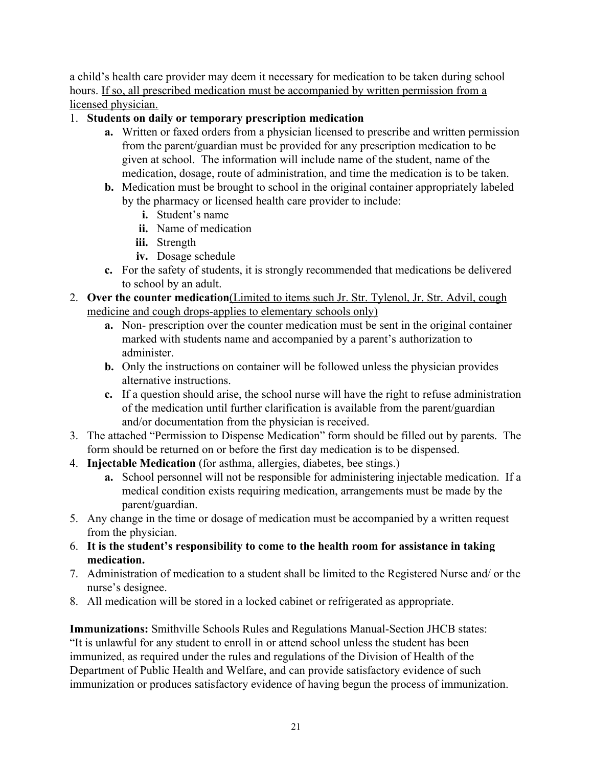a child's health care provider may deem it necessary for medication to be taken during school hours. If so, all prescribed medication must be accompanied by written permission from a licensed physician.

#### 1. **Students on daily or temporary prescription medication**

- **a.** Written or faxed orders from a physician licensed to prescribe and written permission from the parent/guardian must be provided for any prescription medication to be given at school. The information will include name of the student, name of the medication, dosage, route of administration, and time the medication is to be taken.
- **b.** Medication must be brought to school in the original container appropriately labeled by the pharmacy or licensed health care provider to include:
	- **i.** Student's name
	- **ii.** Name of medication
	- **iii.** Strength
	- **iv.** Dosage schedule
- **c.** For the safety of students, it is strongly recommended that medications be delivered to school by an adult.
- 2. **Over the counter medication**(Limited to items such Jr. Str. Tylenol, Jr. Str. Advil, cough medicine and cough drops-applies to elementary schools only)
	- **a.** Non- prescription over the counter medication must be sent in the original container marked with students name and accompanied by a parent's authorization to administer.
	- **b.** Only the instructions on container will be followed unless the physician provides alternative instructions.
	- **c.** If a question should arise, the school nurse will have the right to refuse administration of the medication until further clarification is available from the parent/guardian and/or documentation from the physician is received.
- 3. The attached "Permission to Dispense Medication" form should be filled out by parents. The form should be returned on or before the first day medication is to be dispensed.
- 4. **Injectable Medication** (for asthma, allergies, diabetes, bee stings.)
	- **a.** School personnel will not be responsible for administering injectable medication. If a medical condition exists requiring medication, arrangements must be made by the parent/guardian.
- 5. Any change in the time or dosage of medication must be accompanied by a written request from the physician.
- 6. **It is the student's responsibility to come to the health room for assistance in taking medication.**
- 7. Administration of medication to a student shall be limited to the Registered Nurse and/ or the nurse's designee.
- 8. All medication will be stored in a locked cabinet or refrigerated as appropriate.

**Immunizations:** Smithville Schools Rules and Regulations Manual-Section JHCB states: "It is unlawful for any student to enroll in or attend school unless the student has been immunized, as required under the rules and regulations of the Division of Health of the Department of Public Health and Welfare, and can provide satisfactory evidence of such immunization or produces satisfactory evidence of having begun the process of immunization.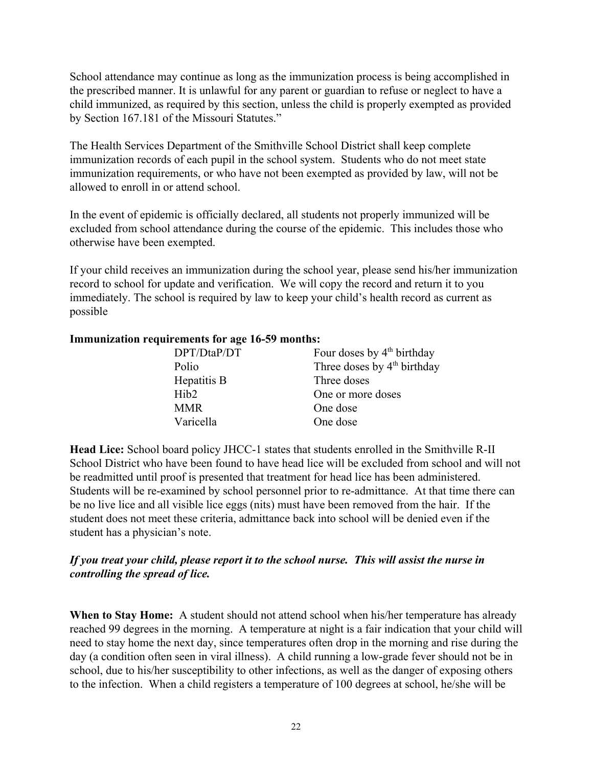School attendance may continue as long as the immunization process is being accomplished in the prescribed manner. It is unlawful for any parent or guardian to refuse or neglect to have a child immunized, as required by this section, unless the child is properly exempted as provided by Section 167.181 of the Missouri Statutes."

The Health Services Department of the Smithville School District shall keep complete immunization records of each pupil in the school system. Students who do not meet state immunization requirements, or who have not been exempted as provided by law, will not be allowed to enroll in or attend school.

In the event of epidemic is officially declared, all students not properly immunized will be excluded from school attendance during the course of the epidemic. This includes those who otherwise have been exempted.

If your child receives an immunization during the school year, please send his/her immunization record to school for update and verification. We will copy the record and return it to you immediately. The school is required by law to keep your child's health record as current as possible

#### **Immunization requirements for age 16-59 months:**

| DPT/DtaP/DT      | Four doses by 4 <sup>th</sup> birthday  |
|------------------|-----------------------------------------|
| Polio            | Three doses by 4 <sup>th</sup> birthday |
| Hepatitis B      | Three doses                             |
| Hib <sub>2</sub> | One or more doses                       |
| <b>MMR</b>       | One dose                                |
| Varicella        | One dose                                |

**Head Lice:** School board policy JHCC-1 states that students enrolled in the Smithville R-II School District who have been found to have head lice will be excluded from school and will not be readmitted until proof is presented that treatment for head lice has been administered. Students will be re-examined by school personnel prior to re-admittance. At that time there can be no live lice and all visible lice eggs (nits) must have been removed from the hair. If the student does not meet these criteria, admittance back into school will be denied even if the student has a physician's note.

#### *If you treat your child, please report it to the school nurse. This will assist the nurse in controlling the spread of lice.*

**When to Stay Home:** A student should not attend school when his/her temperature has already reached 99 degrees in the morning. A temperature at night is a fair indication that your child will need to stay home the next day, since temperatures often drop in the morning and rise during the day (a condition often seen in viral illness). A child running a low-grade fever should not be in school, due to his/her susceptibility to other infections, as well as the danger of exposing others to the infection. When a child registers a temperature of 100 degrees at school, he/she will be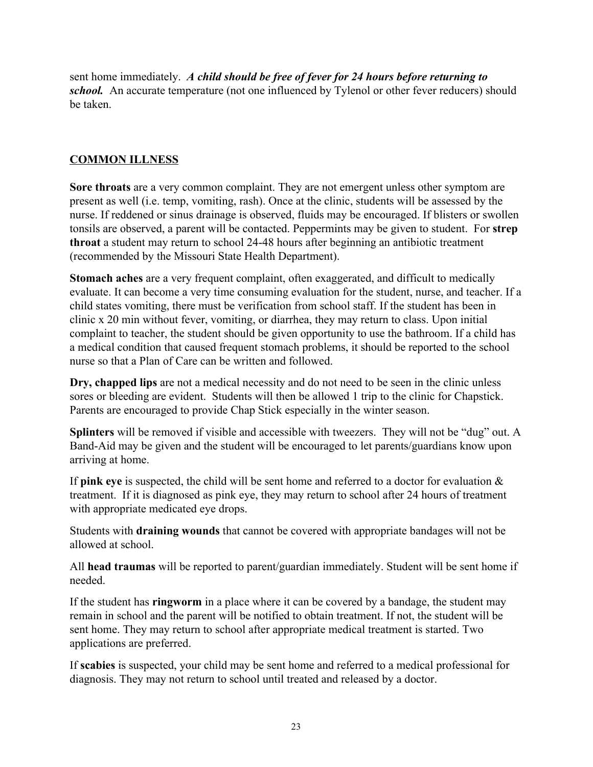sent home immediately. *A child should be free of fever for 24 hours before returning to school.* An accurate temperature (not one influenced by Tylenol or other fever reducers) should be taken.

#### **COMMON ILLNESS**

**Sore throats** are a very common complaint. They are not emergent unless other symptom are present as well (i.e. temp, vomiting, rash). Once at the clinic, students will be assessed by the nurse. If reddened or sinus drainage is observed, fluids may be encouraged. If blisters or swollen tonsils are observed, a parent will be contacted. Peppermints may be given to student. For **strep throat** a student may return to school 24-48 hours after beginning an antibiotic treatment (recommended by the Missouri State Health Department).

**Stomach aches** are a very frequent complaint, often exaggerated, and difficult to medically evaluate. It can become a very time consuming evaluation for the student, nurse, and teacher. If a child states vomiting, there must be verification from school staff. If the student has been in clinic x 20 min without fever, vomiting, or diarrhea, they may return to class. Upon initial complaint to teacher, the student should be given opportunity to use the bathroom. If a child has a medical condition that caused frequent stomach problems, it should be reported to the school nurse so that a Plan of Care can be written and followed.

**Dry, chapped lips** are not a medical necessity and do not need to be seen in the clinic unless sores or bleeding are evident. Students will then be allowed 1 trip to the clinic for Chapstick. Parents are encouraged to provide Chap Stick especially in the winter season.

**Splinters** will be removed if visible and accessible with tweezers. They will not be "dug" out. A Band-Aid may be given and the student will be encouraged to let parents/guardians know upon arriving at home.

If **pink eye** is suspected, the child will be sent home and referred to a doctor for evaluation & treatment. If it is diagnosed as pink eye, they may return to school after 24 hours of treatment with appropriate medicated eye drops.

Students with **draining wounds** that cannot be covered with appropriate bandages will not be allowed at school.

All **head traumas** will be reported to parent/guardian immediately. Student will be sent home if needed.

If the student has **ringworm** in a place where it can be covered by a bandage, the student may remain in school and the parent will be notified to obtain treatment. If not, the student will be sent home. They may return to school after appropriate medical treatment is started. Two applications are preferred.

If **scabies** is suspected, your child may be sent home and referred to a medical professional for diagnosis. They may not return to school until treated and released by a doctor.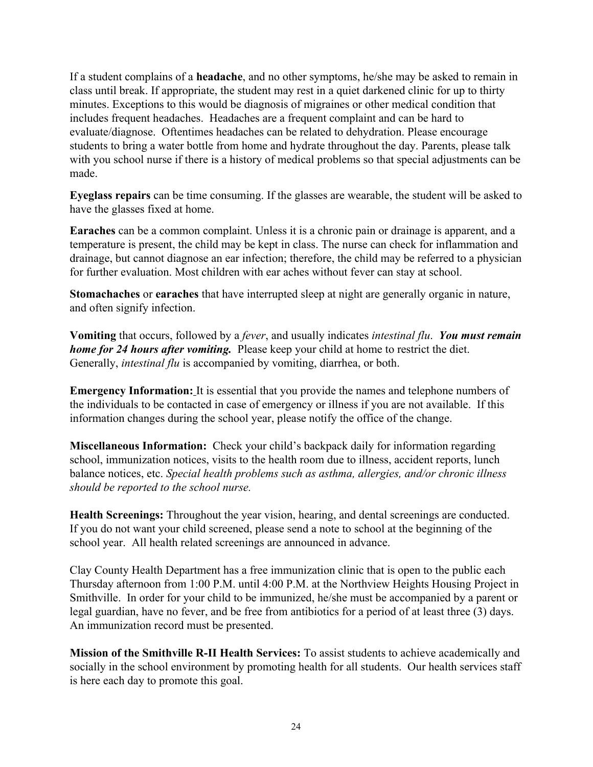If a student complains of a **headache**, and no other symptoms, he/she may be asked to remain in class until break. If appropriate, the student may rest in a quiet darkened clinic for up to thirty minutes. Exceptions to this would be diagnosis of migraines or other medical condition that includes frequent headaches. Headaches are a frequent complaint and can be hard to evaluate/diagnose. Oftentimes headaches can be related to dehydration. Please encourage students to bring a water bottle from home and hydrate throughout the day. Parents, please talk with you school nurse if there is a history of medical problems so that special adjustments can be made.

**Eyeglass repairs** can be time consuming. If the glasses are wearable, the student will be asked to have the glasses fixed at home.

**Earaches** can be a common complaint. Unless it is a chronic pain or drainage is apparent, and a temperature is present, the child may be kept in class. The nurse can check for inflammation and drainage, but cannot diagnose an ear infection; therefore, the child may be referred to a physician for further evaluation. Most children with ear aches without fever can stay at school.

**Stomachaches** or **earaches** that have interrupted sleep at night are generally organic in nature, and often signify infection.

**Vomiting** that occurs, followed by a *fever*, and usually indicates *intestinal flu*. *You must remain home for 24 hours after vomiting.* Please keep your child at home to restrict the diet. Generally, *intestinal flu* is accompanied by vomiting, diarrhea, or both.

**Emergency Information:** It is essential that you provide the names and telephone numbers of the individuals to be contacted in case of emergency or illness if you are not available. If this information changes during the school year, please notify the office of the change.

**Miscellaneous Information:** Check your child's backpack daily for information regarding school, immunization notices, visits to the health room due to illness, accident reports, lunch balance notices, etc. *Special health problems such as asthma, allergies, and/or chronic illness should be reported to the school nurse.*

**Health Screenings:** Throughout the year vision, hearing, and dental screenings are conducted. If you do not want your child screened, please send a note to school at the beginning of the school year. All health related screenings are announced in advance.

Clay County Health Department has a free immunization clinic that is open to the public each Thursday afternoon from 1:00 P.M. until 4:00 P.M. at the Northview Heights Housing Project in Smithville. In order for your child to be immunized, he/she must be accompanied by a parent or legal guardian, have no fever, and be free from antibiotics for a period of at least three (3) days. An immunization record must be presented.

**Mission of the Smithville R-II Health Services:** To assist students to achieve academically and socially in the school environment by promoting health for all students. Our health services staff is here each day to promote this goal.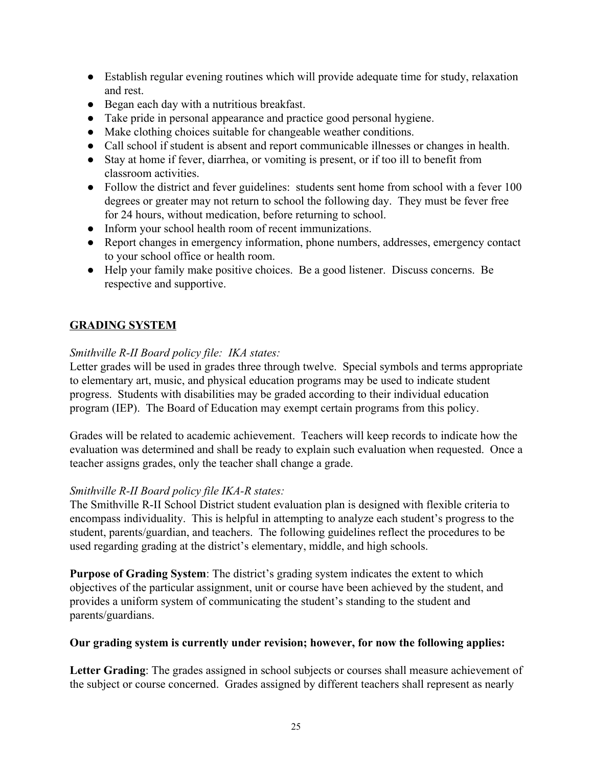- Establish regular evening routines which will provide adequate time for study, relaxation and rest.
- Began each day with a nutritious breakfast.
- Take pride in personal appearance and practice good personal hygiene.
- Make clothing choices suitable for changeable weather conditions.
- Call school if student is absent and report communicable illnesses or changes in health.
- Stay at home if fever, diarrhea, or vomiting is present, or if too ill to benefit from classroom activities.
- Follow the district and fever guidelines: students sent home from school with a fever 100 degrees or greater may not return to school the following day. They must be fever free for 24 hours, without medication, before returning to school.
- Inform your school health room of recent immunizations.
- Report changes in emergency information, phone numbers, addresses, emergency contact to your school office or health room.
- Help your family make positive choices. Be a good listener. Discuss concerns. Be respective and supportive.

#### **GRADING SYSTEM**

#### *Smithville R-II Board policy file: IKA states:*

Letter grades will be used in grades three through twelve. Special symbols and terms appropriate to elementary art, music, and physical education programs may be used to indicate student progress. Students with disabilities may be graded according to their individual education program (IEP). The Board of Education may exempt certain programs from this policy.

Grades will be related to academic achievement. Teachers will keep records to indicate how the evaluation was determined and shall be ready to explain such evaluation when requested. Once a teacher assigns grades, only the teacher shall change a grade.

#### *Smithville R-II Board policy file IKA-R states:*

The Smithville R-II School District student evaluation plan is designed with flexible criteria to encompass individuality. This is helpful in attempting to analyze each student's progress to the student, parents/guardian, and teachers. The following guidelines reflect the procedures to be used regarding grading at the district's elementary, middle, and high schools.

**Purpose of Grading System**: The district's grading system indicates the extent to which objectives of the particular assignment, unit or course have been achieved by the student, and provides a uniform system of communicating the student's standing to the student and parents/guardians.

#### **Our grading system is currently under revision; however, for now the following applies:**

**Letter Grading**: The grades assigned in school subjects or courses shall measure achievement of the subject or course concerned. Grades assigned by different teachers shall represent as nearly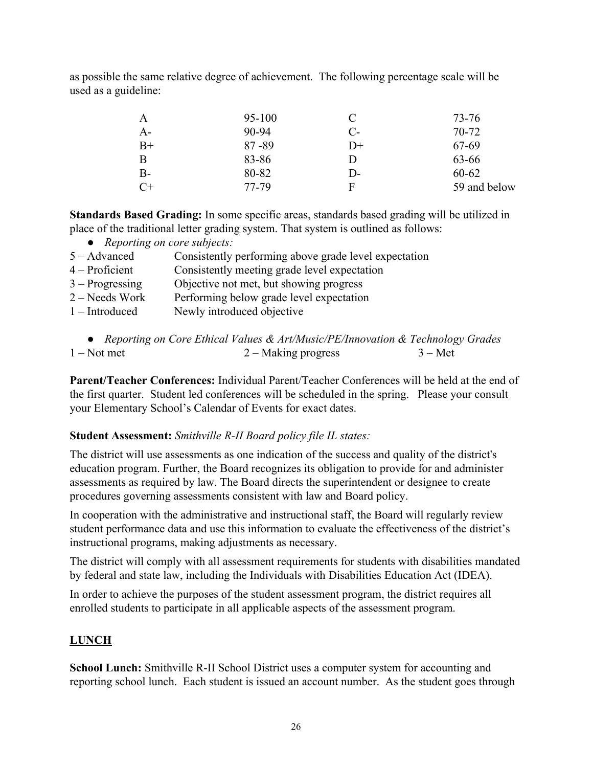as possible the same relative degree of achievement. The following percentage scale will be used as a guideline:

| $\mathbf{A}$ | 95-100    | C          | 73-76        |
|--------------|-----------|------------|--------------|
| $A-$         | $90 - 94$ | $C_{\tau}$ | 70-72        |
| $B+$         | $87 - 89$ | $D+$       | 67-69        |
| B            | 83-86     | D          | 63-66        |
| $B-$         | 80-82     | D-         | 60-62        |
| $C+$         | 77-79     | F          | 59 and below |

**Standards Based Grading:** In some specific areas, standards based grading will be utilized in place of the traditional letter grading system. That system is outlined as follows:

- *Reporting on core subjects:*
- 5 Advanced Consistently performing above grade level expectation
- 4 Proficient Consistently meeting grade level expectation
- 3 Progressing Objective not met, but showing progress
- 2 Needs Work Performing below grade level expectation
- 1 Introduced Newly introduced objective

**Parent/Teacher Conferences:** Individual Parent/Teacher Conferences will be held at the end of the first quarter. Student led conferences will be scheduled in the spring. Please your consult your Elementary School's Calendar of Events for exact dates.

#### **Student Assessment:** *Smithville R-II Board policy file IL states:*

The district will use assessments as one indication of the success and quality of the district's education program. Further, the Board recognizes its obligation to provide for and administer assessments as required by law. The Board directs the superintendent or designee to create procedures governing assessments consistent with law and Board policy.

In cooperation with the administrative and instructional staff, the Board will regularly review student performance data and use this information to evaluate the effectiveness of the district's instructional programs, making adjustments as necessary.

The district will comply with all assessment requirements for students with disabilities mandated by federal and state law, including the Individuals with Disabilities Education Act (IDEA).

In order to achieve the purposes of the student assessment program, the district requires all enrolled students to participate in all applicable aspects of the assessment program.

#### **LUNCH**

**School Lunch:** Smithville R-II School District uses a computer system for accounting and reporting school lunch. Each student is issued an account number. As the student goes through

<sup>●</sup> *Reporting on Core Ethical Values & Art/Music/PE/Innovation & Technology Grades* 1 – Not met 2 – Making progress 3 – Met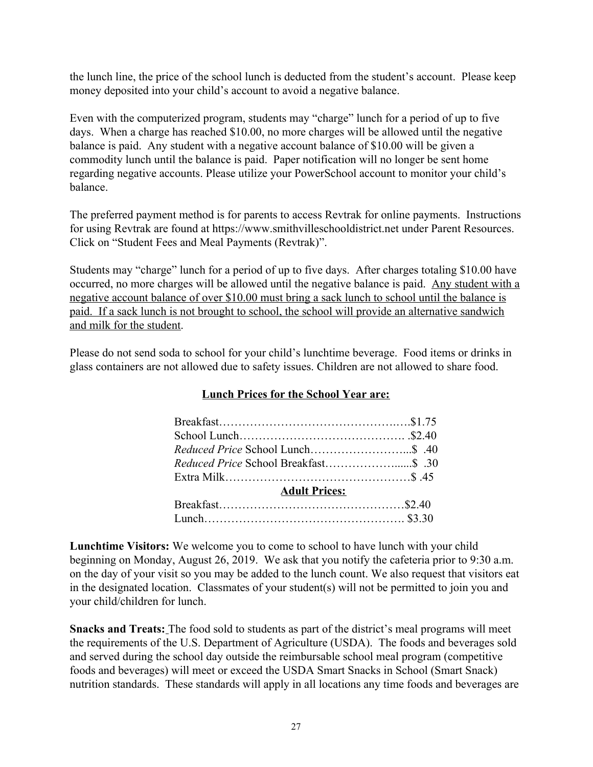the lunch line, the price of the school lunch is deducted from the student's account. Please keep money deposited into your child's account to avoid a negative balance.

Even with the computerized program, students may "charge" lunch for a period of up to five days. When a charge has reached \$10.00, no more charges will be allowed until the negative balance is paid. Any student with a negative account balance of \$10.00 will be given a commodity lunch until the balance is paid. Paper notification will no longer be sent home regarding negative accounts. Please utilize your PowerSchool account to monitor your child's balance.

The preferred payment method is for parents to access Revtrak for online payments. Instructions for using Revtrak are found at https://www.smithvilleschooldistrict.net under Parent Resources. Click on "Student Fees and Meal Payments (Revtrak)".

Students may "charge" lunch for a period of up to five days. After charges totaling \$10.00 have occurred, no more charges will be allowed until the negative balance is paid. Any student with a negative account balance of over \$10.00 must bring a sack lunch to school until the balance is paid. If a sack lunch is not brought to school, the school will provide an alternative sandwich and milk for the student.

Please do not send soda to school for your child's lunchtime beverage. Food items or drinks in glass containers are not allowed due to safety issues. Children are not allowed to share food.

| <b>Adult Prices:</b> |  |
|----------------------|--|
|                      |  |
|                      |  |

#### **Lunch Prices for the School Year are:**

**Lunchtime Visitors:** We welcome you to come to school to have lunch with your child beginning on Monday, August 26, 2019. We ask that you notify the cafeteria prior to 9:30 a.m. on the day of your visit so you may be added to the lunch count. We also request that visitors eat in the designated location. Classmates of your student(s) will not be permitted to join you and your child/children for lunch.

**Snacks and Treats:** The food sold to students as part of the district's meal programs will meet the requirements of the U.S. Department of Agriculture (USDA). The foods and beverages sold and served during the school day outside the reimbursable school meal program (competitive foods and beverages) will meet or exceed the USDA Smart Snacks in School (Smart Snack) nutrition standards. These standards will apply in all locations any time foods and beverages are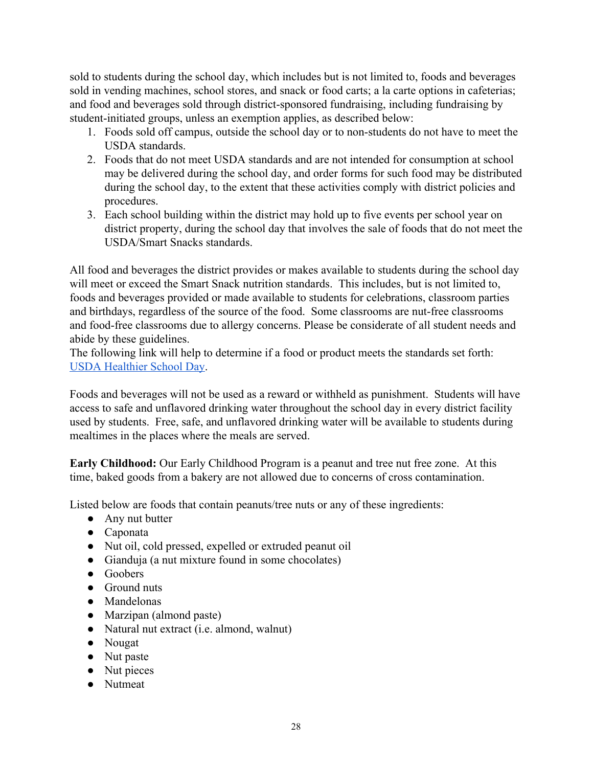sold to students during the school day, which includes but is not limited to, foods and beverages sold in vending machines, school stores, and snack or food carts; a la carte options in cafeterias; and food and beverages sold through district-sponsored fundraising, including fundraising by student-initiated groups, unless an exemption applies, as described below:

- 1. Foods sold off campus, outside the school day or to non-students do not have to meet the USDA standards.
- 2. Foods that do not meet USDA standards and are not intended for consumption at school may be delivered during the school day, and order forms for such food may be distributed during the school day, to the extent that these activities comply with district policies and procedures.
- 3. Each school building within the district may hold up to five events per school year on district property, during the school day that involves the sale of foods that do not meet the USDA/Smart Snacks standards.

All food and beverages the district provides or makes available to students during the school day will meet or exceed the Smart Snack nutrition standards. This includes, but is not limited to, foods and beverages provided or made available to students for celebrations, classroom parties and birthdays, regardless of the source of the food. Some classrooms are nut-free classrooms and food-free classrooms due to allergy concerns. Please be considerate of all student needs and abide by these guidelines.

The following link will help to determine if a food or product meets the standards set forth: [USDA Healthier School Day.](https://www.fns.usda.gov/healthierschoolday/tools-schools-focusing-smart-snacks)

Foods and beverages will not be used as a reward or withheld as punishment. Students will have access to safe and unflavored drinking water throughout the school day in every district facility used by students. Free, safe, and unflavored drinking water will be available to students during mealtimes in the places where the meals are served.

**Early Childhood:** Our Early Childhood Program is a peanut and tree nut free zone. At this time, baked goods from a bakery are not allowed due to concerns of cross contamination.

Listed below are foods that contain peanuts/tree nuts or any of these ingredients:

- Any nut butter
- Caponata
- Nut oil, cold pressed, expelled or extruded peanut oil
- Gianduja (a nut mixture found in some chocolates)
- Goobers
- Ground nuts
- Mandelonas
- Marzipan (almond paste)
- Natural nut extract (i.e. almond, walnut)
- Nougat
- Nut paste
- Nut pieces
- Nutmeat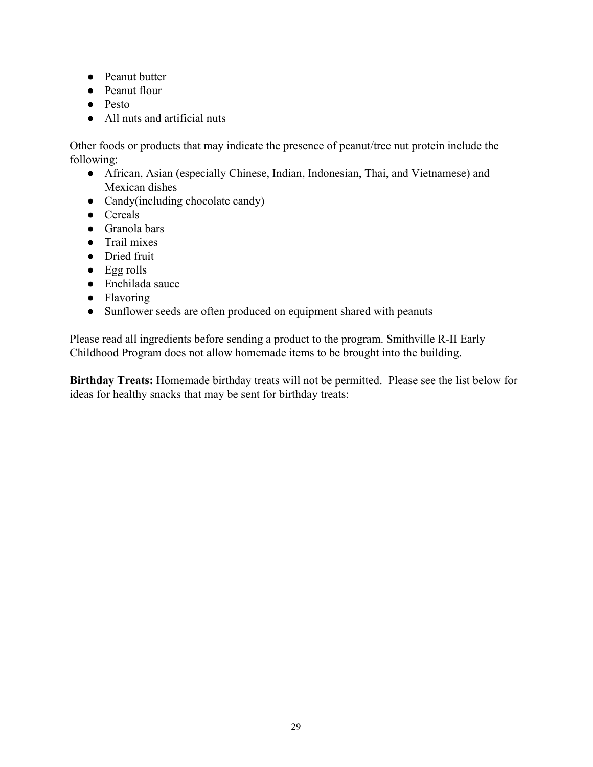- Peanut butter
- Peanut flour
- Pesto
- All nuts and artificial nuts

Other foods or products that may indicate the presence of peanut/tree nut protein include the following:

- African, Asian (especially Chinese, Indian, Indonesian, Thai, and Vietnamese) and Mexican dishes
- Candy(including chocolate candy)
- Cereals
- Granola bars
- Trail mixes
- Dried fruit
- Egg rolls
- Enchilada sauce
- Flavoring
- Sunflower seeds are often produced on equipment shared with peanuts

Please read all ingredients before sending a product to the program. Smithville R-II Early Childhood Program does not allow homemade items to be brought into the building.

**Birthday Treats:** Homemade birthday treats will not be permitted. Please see the list below for ideas for healthy snacks that may be sent for birthday treats: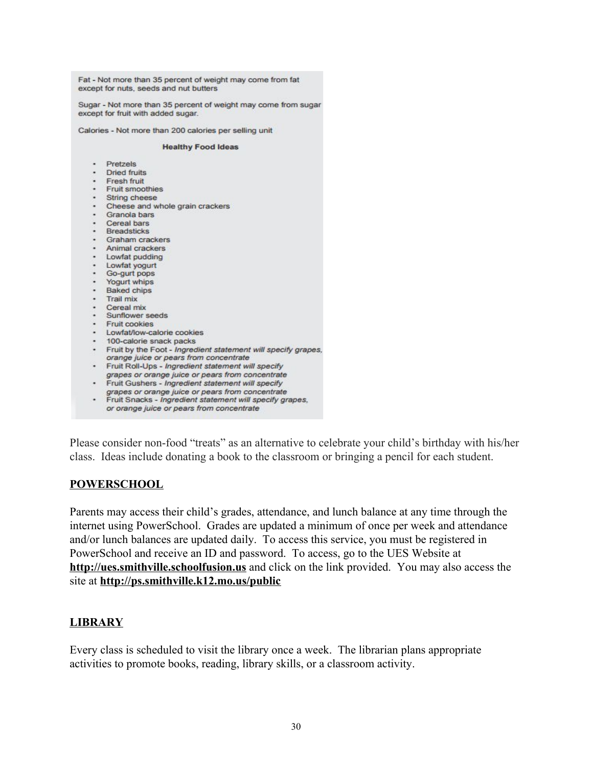Fat - Not more than 35 percent of weight may come from fat except for nuts, seeds and nut butters

Sugar - Not more than 35 percent of weight may come from sugar except for fruit with added sugar.

Calories - Not more than 200 calories per selling unit

#### **Healthy Food Ideas**

- · Pretzels
- · Dried fruits
- 
- · Fresh fruit<br>· Fruit smoothies
- String cheese
- Cheese and whole grain crackers<br>• Granola bars
- 
- · Cereal bars<br>· Breadsticks
- 
- Graham crackers
- · Animal crackers
- Lowfat pudding
- · Lowfat yogurt
- · Go-gurt pops
- · Yogurt whips
- · Baked chips
- · Trail mix
- Cereal mix
- Sunflower seeds
- · Fruit cookies
- · Lowfat/low-calorie cookies
- 100-calorie snack packs
- · Fruit by the Foot Ingredient statement will specify grapes, orange juice or pears from concentrate
- · Fruit Roll-Ups Ingredient statement will specify
- grapes or orange juice or pears from concentrate<br>Fruit Gushers Ingredient statement will specify
- 
- grapes or orange juice or pears from concentrate<br>Fruit Snacks Ingredient statement will specify grapes, or orange juice or pears from concentrate

Please consider non-food "treats" as an alternative to celebrate your child's birthday with his/her class. Ideas include donating a book to the classroom or bringing a pencil for each student.

#### **POWERSCHOOL**

Parents may access their child's grades, attendance, and lunch balance at any time through the internet using PowerSchool. Grades are updated a minimum of once per week and attendance and/or lunch balances are updated daily. To access this service, you must be registered in PowerSchool and receive an ID and password. To access, go to the UES Website at **[http://ues.smithville.schoolfusion.us](http://ues.smithville.schoolfusion.us/)** and click on the link provided. You may also access the site at **<http://ps.smithville.k12.mo.us/public>**

#### **LIBRARY**

Every class is scheduled to visit the library once a week. The librarian plans appropriate activities to promote books, reading, library skills, or a classroom activity.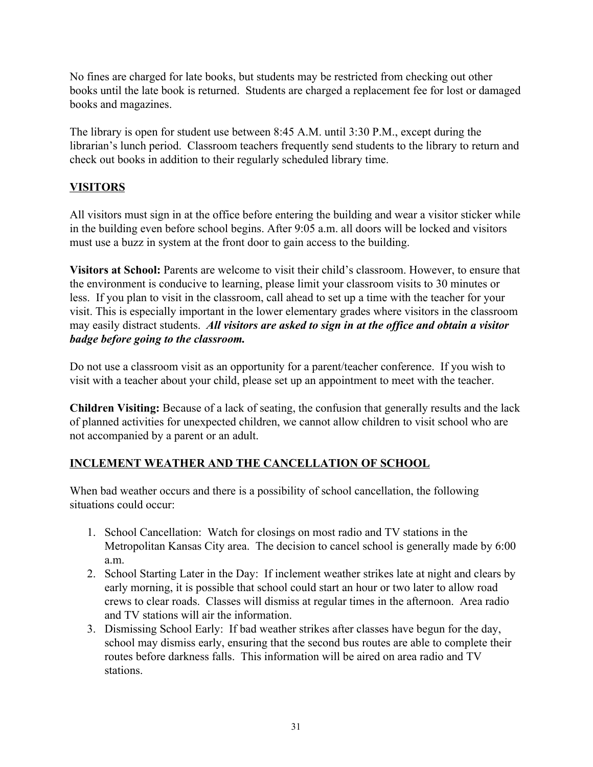No fines are charged for late books, but students may be restricted from checking out other books until the late book is returned. Students are charged a replacement fee for lost or damaged books and magazines.

The library is open for student use between 8:45 A.M. until 3:30 P.M., except during the librarian's lunch period. Classroom teachers frequently send students to the library to return and check out books in addition to their regularly scheduled library time.

#### **VISITORS**

All visitors must sign in at the office before entering the building and wear a visitor sticker while in the building even before school begins. After 9:05 a.m. all doors will be locked and visitors must use a buzz in system at the front door to gain access to the building.

**Visitors at School:** Parents are welcome to visit their child's classroom. However, to ensure that the environment is conducive to learning, please limit your classroom visits to 30 minutes or less. If you plan to visit in the classroom, call ahead to set up a time with the teacher for your visit. This is especially important in the lower elementary grades where visitors in the classroom may easily distract students. *All visitors are asked to sign in at the office and obtain a visitor badge before going to the classroom.*

Do not use a classroom visit as an opportunity for a parent/teacher conference. If you wish to visit with a teacher about your child, please set up an appointment to meet with the teacher.

**Children Visiting:** Because of a lack of seating, the confusion that generally results and the lack of planned activities for unexpected children, we cannot allow children to visit school who are not accompanied by a parent or an adult.

#### **INCLEMENT WEATHER AND THE CANCELLATION OF SCHOOL**

When bad weather occurs and there is a possibility of school cancellation, the following situations could occur:

- 1. School Cancellation: Watch for closings on most radio and TV stations in the Metropolitan Kansas City area. The decision to cancel school is generally made by 6:00 a.m.
- 2. School Starting Later in the Day: If inclement weather strikes late at night and clears by early morning, it is possible that school could start an hour or two later to allow road crews to clear roads. Classes will dismiss at regular times in the afternoon. Area radio and TV stations will air the information.
- 3. Dismissing School Early: If bad weather strikes after classes have begun for the day, school may dismiss early, ensuring that the second bus routes are able to complete their routes before darkness falls. This information will be aired on area radio and TV stations.